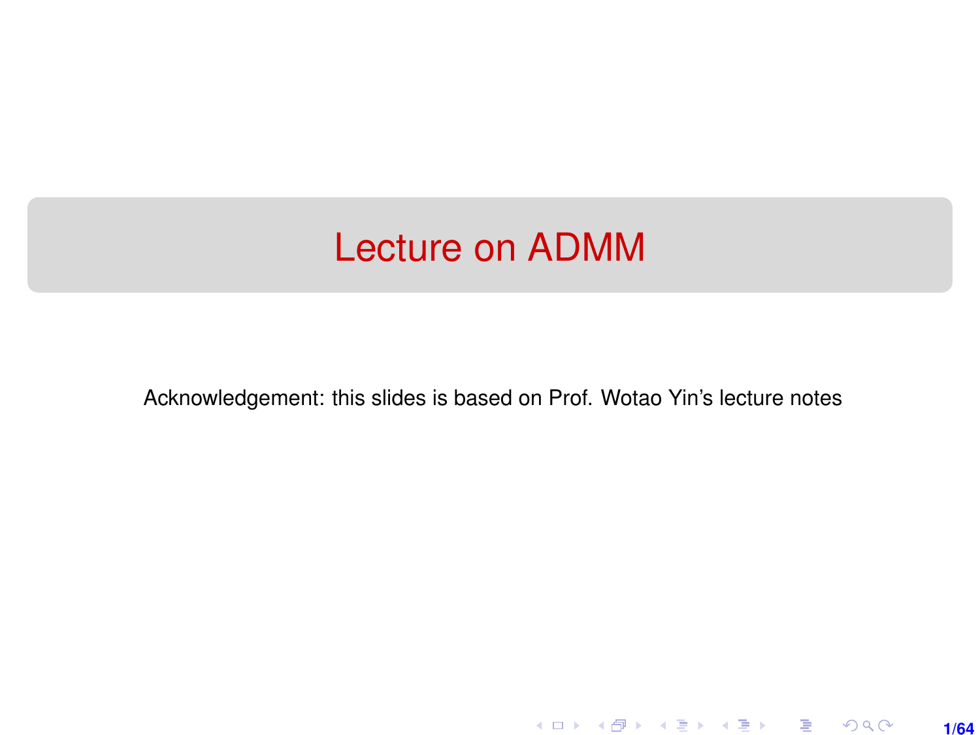### <span id="page-0-0"></span>Lecture on ADMM

Acknowledgement: this slides is based on Prof. Wotao Yin's lecture notes

**1/64**

K ロ ▶ K @ ▶ K 할 ▶ K 할 ▶ 이 할 → 900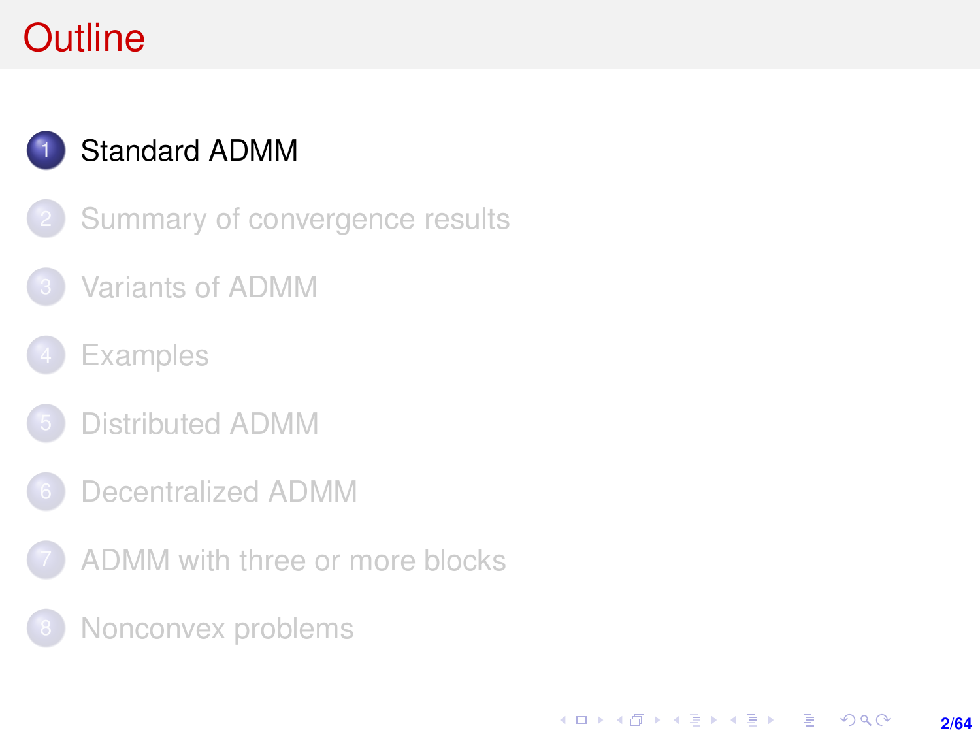# <span id="page-1-0"></span>**Outline**



### [Standard ADMM](#page-1-0)

- [Summary of convergence results](#page-7-0)
- [Variants of ADMM](#page-11-0)
- **[Examples](#page-17-0)**
- [Distributed ADMM](#page-30-0)
- 6 [Decentralized ADMM](#page-50-0)
- [ADMM with three or more blocks](#page-53-0)
- [Nonconvex problems](#page-59-0)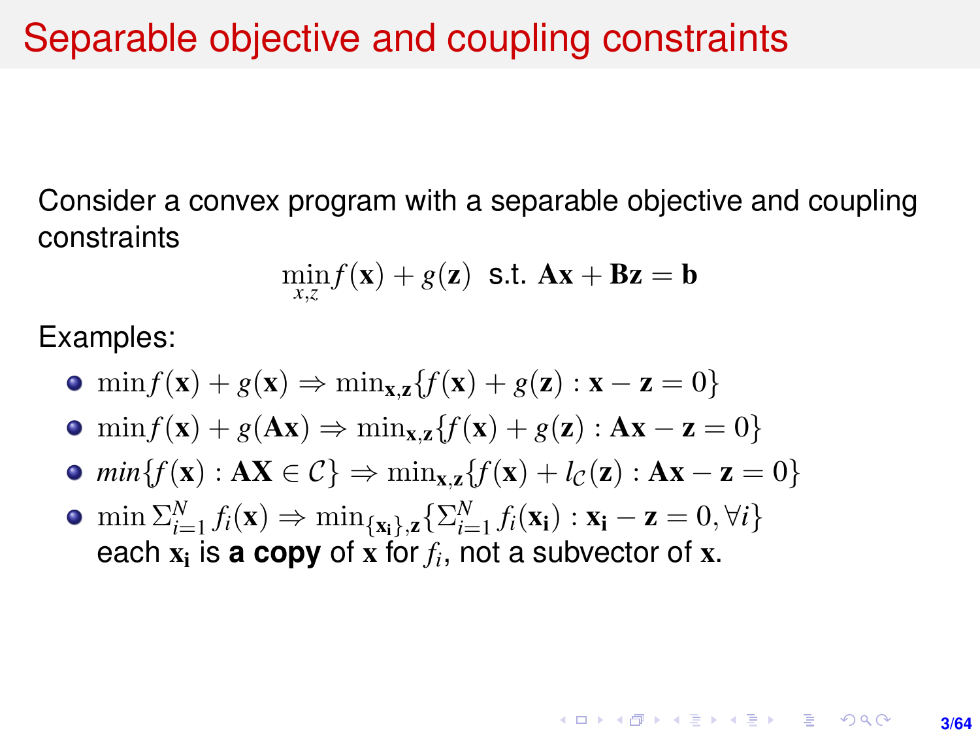Consider a convex program with a separable objective and coupling constraints

$$
\min_{x,z} f(\mathbf{x}) + g(\mathbf{z}) \text{ s.t. } \mathbf{A}\mathbf{x} + \mathbf{B}\mathbf{z} = \mathbf{b}
$$

Examples:

- $\bullet$  min  $f(\mathbf{x}) + g(\mathbf{x}) \Rightarrow \min_{\mathbf{x},\mathbf{z}} \{f(\mathbf{x}) + g(\mathbf{z}) : \mathbf{x} \mathbf{z} = 0\}$
- $\bullet$  min  $f(\mathbf{x}) + g(\mathbf{A}\mathbf{x}) \Rightarrow \min_{\mathbf{x},\mathbf{z}} \{f(\mathbf{x}) + g(\mathbf{z}) : \mathbf{A}\mathbf{x} \mathbf{z} = 0\}$
- $\bullet$  *min*{*f*(**x**) : **AX**  $\in \mathcal{C}$ }  $\Rightarrow$   $\min_{\mathbf{x},\mathbf{z}}$ {*f*(**x**) + *l*<sub>C</sub>(**z**) : **Ax z** = 0}
- $\min \sum_{i=1}^{N} f_i(\mathbf{x}) \Rightarrow \min_{\{\mathbf{x_i}\},\mathbf{z}} \{\sum_{i=1}^{N} f_i(\mathbf{x_i}) : \mathbf{x_i} \mathbf{z} = 0, \forall i\}$ each  $x_i$  is **a copy** of x for  $f_i$ , not a subvector of x.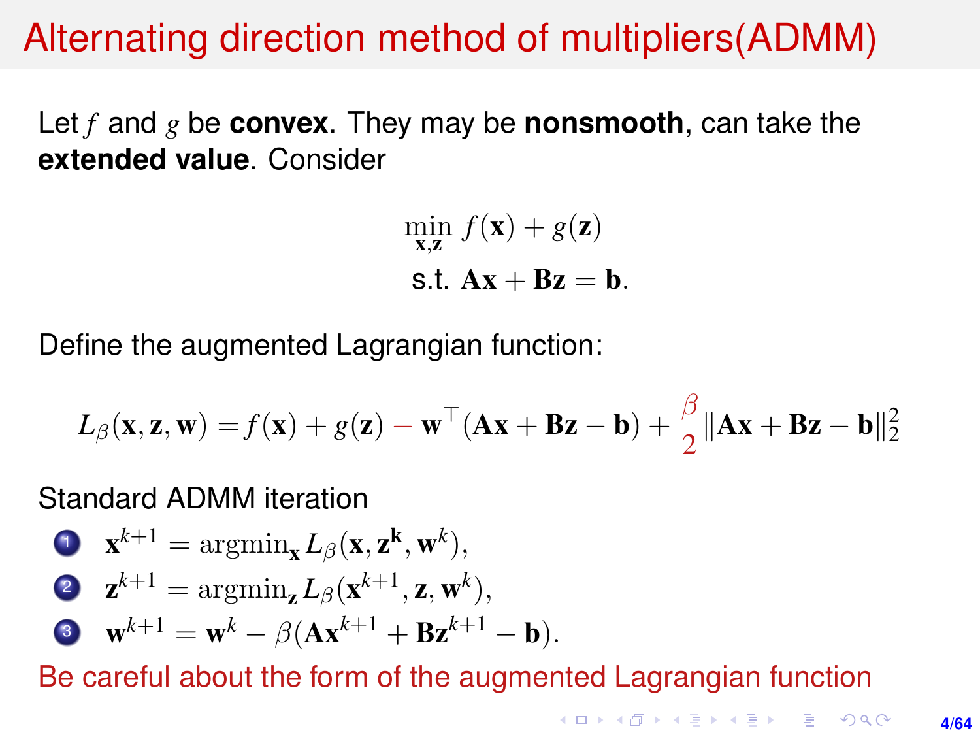## Alternating direction method of multipliers(ADMM)

Let *f* and *g* be **convex**. They may be **nonsmooth**, can take the **extended value**. Consider

$$
\min_{\mathbf{x},\mathbf{z}} f(\mathbf{x}) + g(\mathbf{z})
$$
  
 
$$
\text{ s.t. } \mathbf{A}\mathbf{x} + \mathbf{B}\mathbf{z} = \mathbf{b}.
$$

Define the augmented Lagrangian function:

$$
L_{\beta}(\mathbf{x}, \mathbf{z}, \mathbf{w}) = f(\mathbf{x}) + g(\mathbf{z}) - \mathbf{w}^{\top}(\mathbf{A}\mathbf{x} + \mathbf{B}\mathbf{z} - \mathbf{b}) + \frac{\beta}{2} \|\mathbf{A}\mathbf{x} + \mathbf{B}\mathbf{z} - \mathbf{b}\|_{2}^{2}
$$

Standard ADMM iteration

\n- **1** 
$$
\mathbf{x}^{k+1} = \arg\min_{\mathbf{x}} L_{\beta}(\mathbf{x}, \mathbf{z}^k, \mathbf{w}^k),
$$
\n- **2**  $\mathbf{z}^{k+1} = \arg\min_{\mathbf{z}} L_{\beta}(\mathbf{x}^{k+1}, \mathbf{z}, \mathbf{w}^k),$
\n- **3**  $\mathbf{w}^{k+1} = \mathbf{w}^k - \beta(\mathbf{A}\mathbf{x}^{k+1} + \mathbf{B}\mathbf{z}^{k+1} - \mathbf{b}).$
\n

Be careful about the form of the augmented Lagrangian function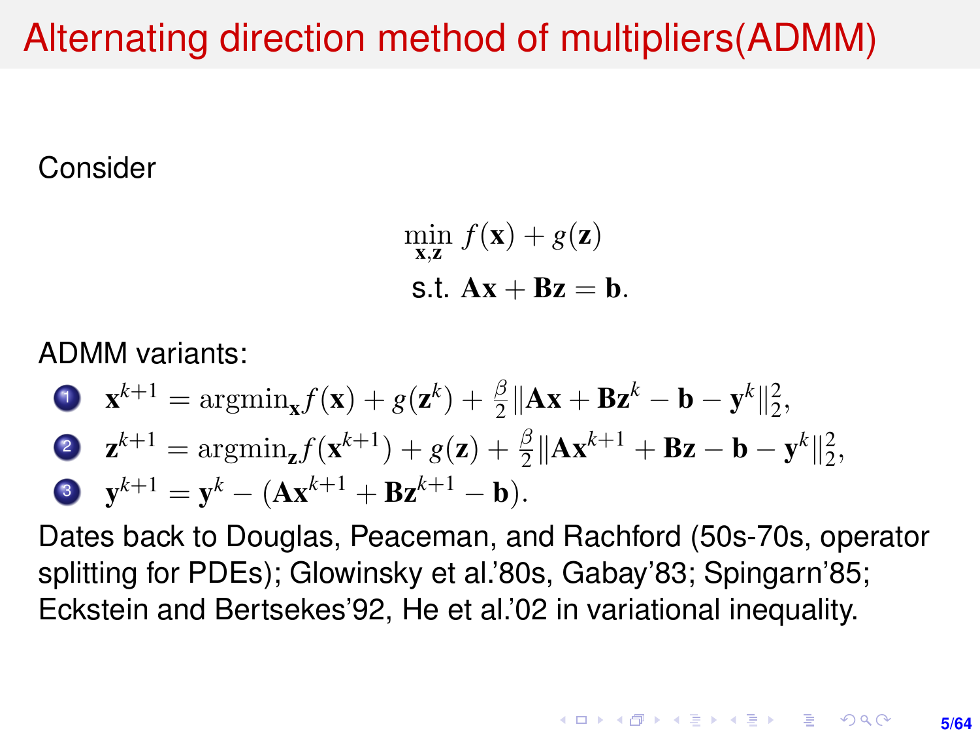# Alternating direction method of multipliers(ADMM)

### Consider

$$
\min_{\mathbf{x},\mathbf{z}} f(\mathbf{x}) + g(\mathbf{z})
$$
  
s.t.  $\mathbf{A}\mathbf{x} + \mathbf{B}\mathbf{z} = \mathbf{b}$ .

ADMM variants:

\n- \n
$$
\mathbf{x}^{k+1} = \operatorname{argmin}_{\mathbf{x}} f(\mathbf{x}) + g(\mathbf{z}^k) + \frac{\beta}{2} \|\mathbf{A}\mathbf{x} + \mathbf{B}\mathbf{z}^k - \mathbf{b} - \mathbf{y}^k\|_2^2,
$$
\n
\n- \n
$$
\mathbf{z}^{k+1} = \operatorname{argmin}_{\mathbf{z}} f(\mathbf{x}^{k+1}) + g(\mathbf{z}) + \frac{\beta}{2} \|\mathbf{A}\mathbf{x}^{k+1} + \mathbf{B}\mathbf{z} - \mathbf{b} - \mathbf{y}^k\|_2^2,
$$
\n
\n- \n
$$
\mathbf{y}^{k+1} = \mathbf{y}^k - (\mathbf{A}\mathbf{x}^{k+1} + \mathbf{B}\mathbf{z}^{k+1} - \mathbf{b}).
$$
\n
\n

Dates back to Douglas, Peaceman, and Rachford (50s-70s, operator splitting for PDEs); Glowinsky et al.'80s, Gabay'83; Spingarn'85; Eckstein and Bertsekes'92, He et al.'02 in variational inequality.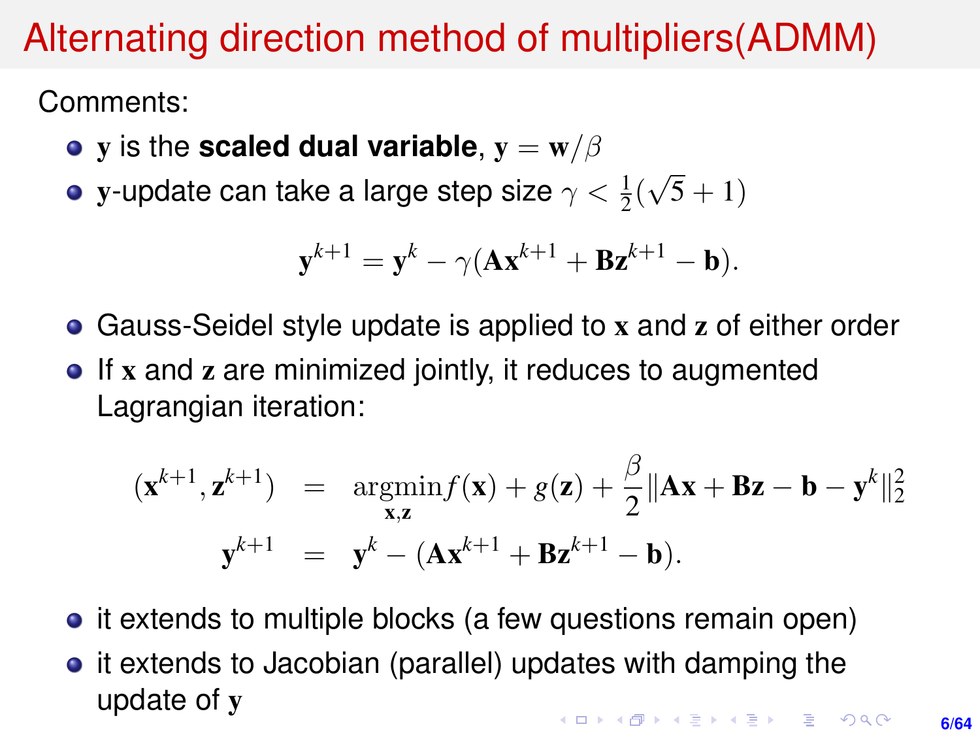# Alternating direction method of multipliers(ADMM)

Comments:

- **v** is the **scaled dual variable**,  $\mathbf{v} = \mathbf{w}/\beta$
- y-update can take a large step size  $\gamma < \frac{1}{2} ($ √  $5 + 1)$

$$
\mathbf{y}^{k+1} = \mathbf{y}^k - \gamma (\mathbf{A}\mathbf{x}^{k+1} + \mathbf{B}\mathbf{z}^{k+1} - \mathbf{b}).
$$

- Gauss-Seidel style update is applied to x and z of either order
- If x and z are minimized jointly, it reduces to augmented Lagrangian iteration:

$$
(\mathbf{x}^{k+1}, \mathbf{z}^{k+1}) = \underset{\mathbf{x}, \mathbf{z}}{\operatorname{argmin}} f(\mathbf{x}) + g(\mathbf{z}) + \frac{\beta}{2} ||\mathbf{A}\mathbf{x} + \mathbf{B}\mathbf{z} - \mathbf{b} - \mathbf{y}^k||_2^2
$$

$$
\mathbf{y}^{k+1} = \mathbf{y}^k - (\mathbf{A}\mathbf{x}^{k+1} + \mathbf{B}\mathbf{z}^{k+1} - \mathbf{b}).
$$

- it extends to multiple blocks (a few questions remain open)
- it extends to Jacobian (parallel) updates with damping the update of y**KORK SERVER SHOP**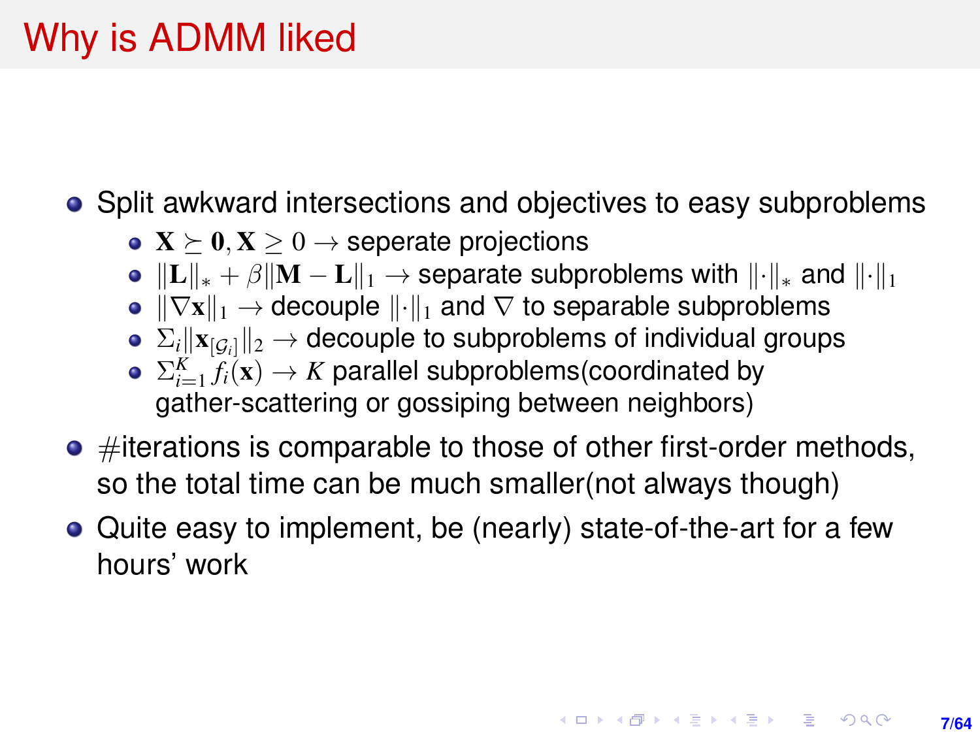# Why is ADMM liked

• Split awkward intersections and objectives to easy subproblems

- $X \succeq 0, X \succeq 0 \rightarrow$  seperate projections
- $||L||_* + \beta ||M L||_1 \rightarrow$  separate subproblems with  $||\cdot||_*$  and  $||\cdot||_1$
- $\|\nabla \mathbf{x}\|_1 \to$  decouple  $\|\cdot\|_1$  and  $\nabla$  to separable subproblems
- $\Sigma_i ||\mathbf{x}_{[G_i]}||_2 \rightarrow$  decouple to subproblems of individual groups
- $\Sigma_{i=1}^K f_i(\mathbf{x}) \rightarrow K$  parallel subproblems(coordinated by gather-scattering or gossiping between neighbors)
- $\bullet$  #iterations is comparable to those of other first-order methods, so the total time can be much smaller(not always though)
- Quite easy to implement, be (nearly) state-of-the-art for a few hours' work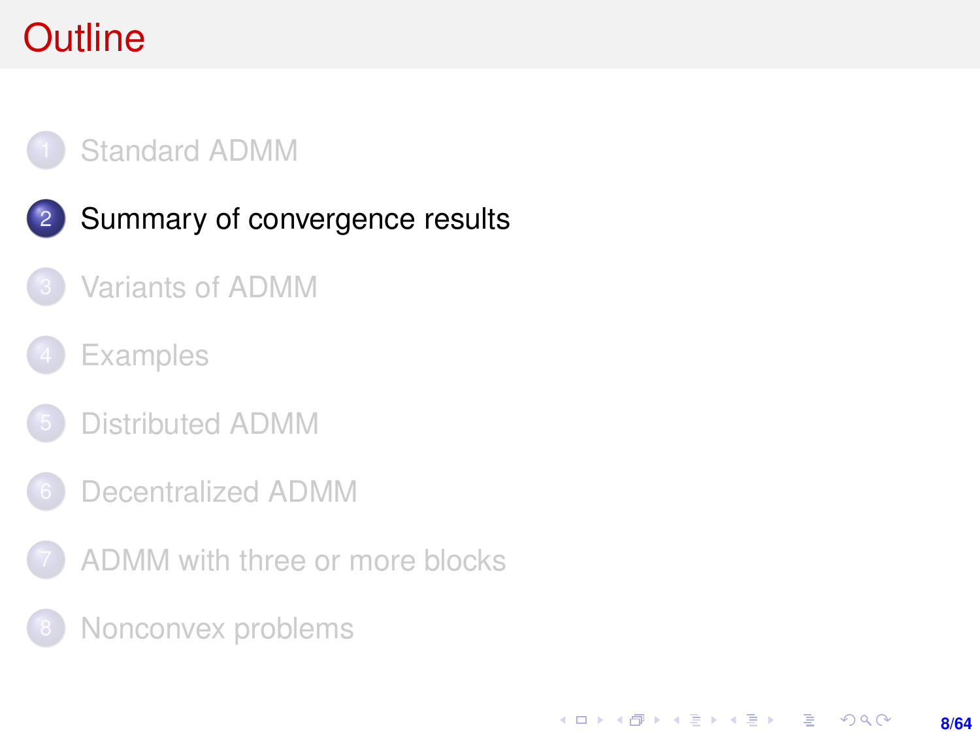# <span id="page-7-0"></span>**Outline**



- 2 [Summary of convergence results](#page-7-0)
- [Variants of ADMM](#page-11-0)
- **[Examples](#page-17-0)**
- [Distributed ADMM](#page-30-0)
- [Decentralized ADMM](#page-50-0)
- [ADMM with three or more blocks](#page-53-0)
- [Nonconvex problems](#page-59-0)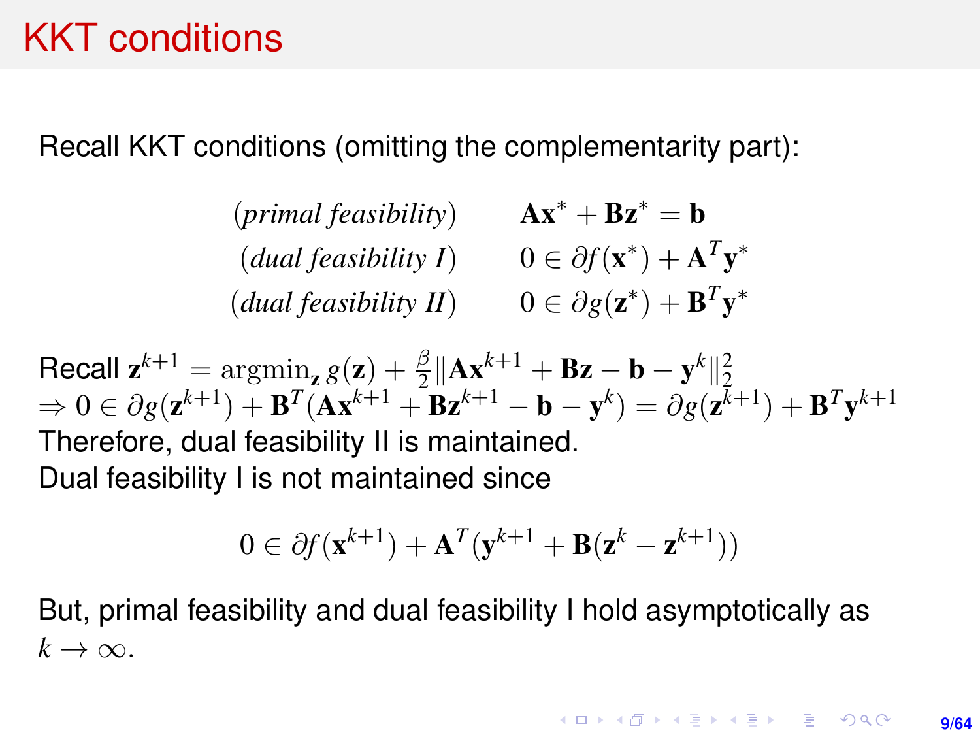### KKT conditions

Recall KKT conditions (omitting the complementarity part):

 $(primal feasibility)$   $Ax^* + Bz^* = b$  $(dual feasibility I)$   $0 \in \partial f(\mathbf{x}^*) + \mathbf{A}^T \mathbf{y}^*$  $(dual feasibility II)$   $0 \in \partial g(\mathbf{z}^*) + \mathbf{B}^T \mathbf{y}^*$ 

Recall  $z^{k+1} = \arg\min_{z} g(z) + \frac{\beta}{2} ||A x^{k+1} + B z - b - y^k||_2^2$  $\Rightarrow 0 \in \partial g(\mathbf{z}^{k+1}) + \mathbf{B}^T(\mathbf{A}\mathbf{x}^{k+1} + \mathbf{\bar{B}}\mathbf{z}^{k+1} - \mathbf{b} - \mathbf{y}^k) = \partial g(\mathbf{z}^{k+1}) + \mathbf{B}^T\mathbf{y}^{k+1}$ Therefore, dual feasibility II is maintained. Dual feasibility I is not maintained since

$$
0 \in \partial f(\mathbf{x}^{k+1}) + \mathbf{A}^T(\mathbf{y}^{k+1} + \mathbf{B}(\mathbf{z}^k - \mathbf{z}^{k+1}))
$$

But, primal feasibility and dual feasibility I hold asymptotically as  $k \to \infty$ .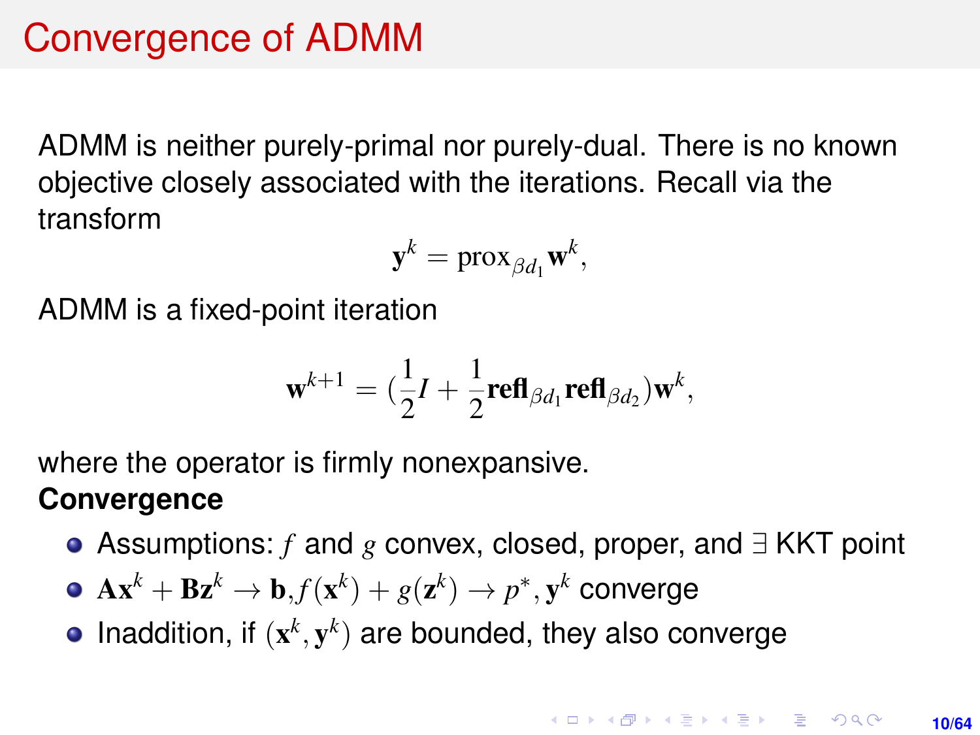# Convergence of ADMM

ADMM is neither purely-primal nor purely-dual. There is no known objective closely associated with the iterations. Recall via the transform

$$
\mathbf{y}^k = \text{prox}_{\beta d_1} \mathbf{w}^k,
$$

ADMM is a fixed-point iteration

$$
\mathbf{w}^{k+1} = (\frac{1}{2}I + \frac{1}{2}\mathbf{refl}_{\beta d_1}\mathbf{refl}_{\beta d_2})\mathbf{w}^k,
$$

where the operator is firmly nonexpansive.

#### **Convergence**

- Assumptions: *f* and *g* convex, closed, proper, and ∃ KKT point
- $\mathbf{A}\mathbf{x}^k + \mathbf{B}\mathbf{z}^k \rightarrow \mathbf{b} , f(\mathbf{x}^k) + g(\mathbf{z}^k) \rightarrow p^*, \mathbf{y}^k$  converge
- Inaddition, if  $(x^k, y^k)$  are bounded, they also converge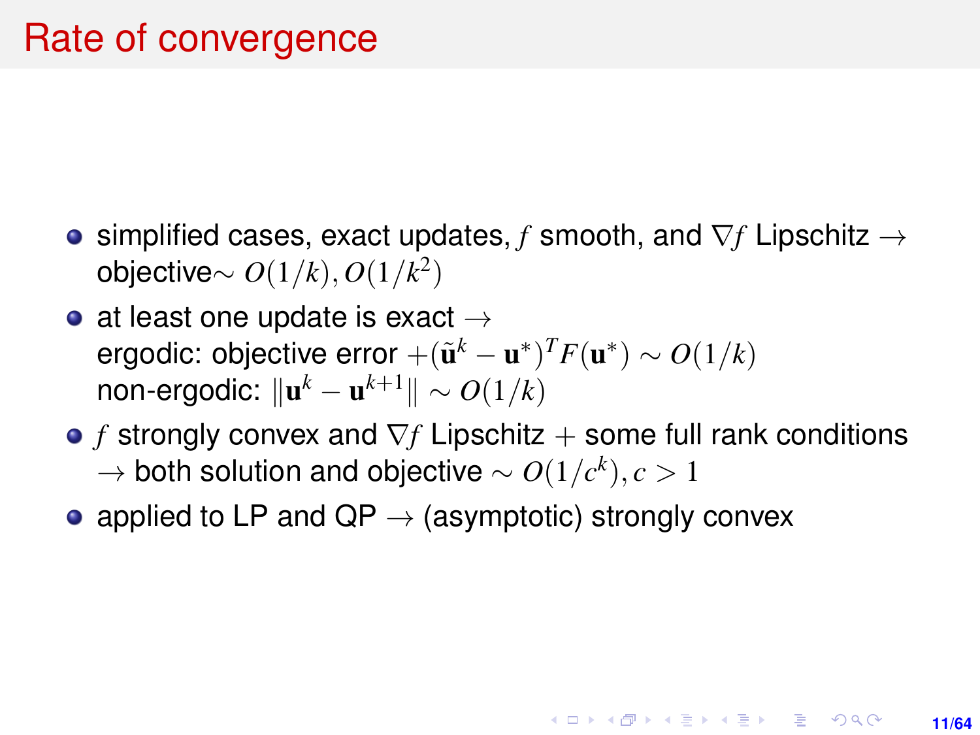- simplified cases, exact updates, *f* smooth, and ∇*f* Lipschitz → objective∼ *O*(1/*k*), *O*(1/*k* 2 )
- at least one update is exact  $\rightarrow$ ergodic: objective error  $+({\tilde{\mathbf{u}}^{k}} - \mathbf{u}^*)^T F(\mathbf{u}^*) \sim O(1/k)$ non-ergodic:  $\| \mathbf{u}^k - \mathbf{u}^{k+1}\| \sim O(1/k)$
- **•** *f* strongly convex and  $\nabla$ *f* Lipschitz + some full rank conditions → both solution and objective ∼ *O*(1/*c k* ), *c* > 1

**11/64**

**KORKARK A BIK BIKA A GA A GA A GA A BIKA A BIKA A BIKA A BIKA A BIKA A BIKA A BIKA A BIKA A BIKA A BIKA A BIKA** 

• applied to LP and QP  $\rightarrow$  (asymptotic) strongly convex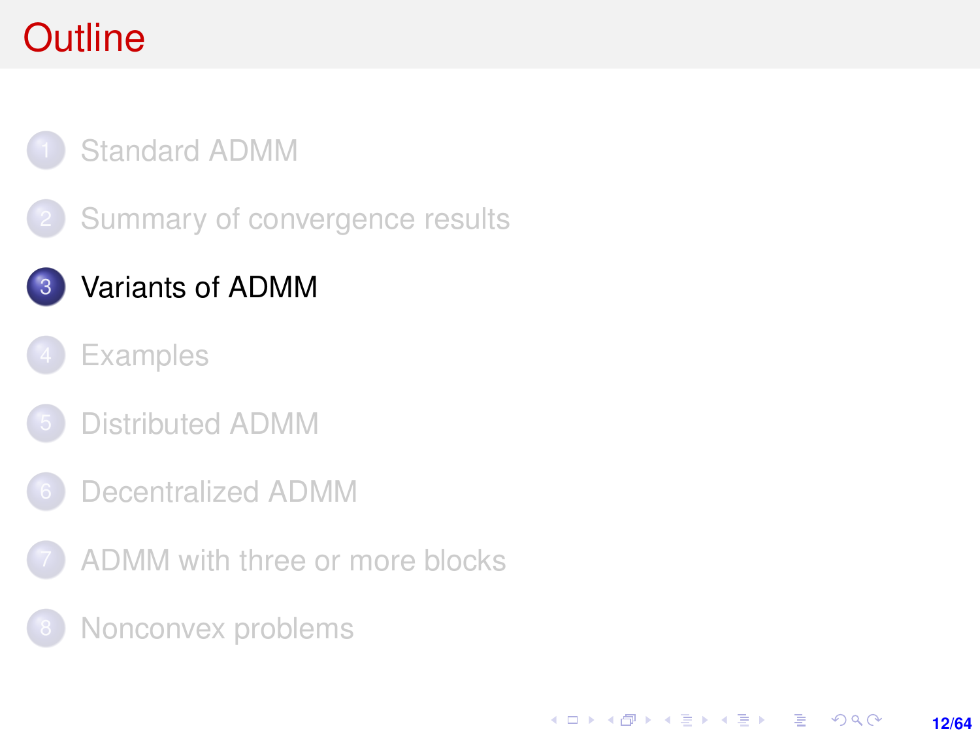# <span id="page-11-0"></span>**Outline**

### [Standard ADMM](#page-1-0)

[Summary of convergence results](#page-7-0)

### 3 [Variants of ADMM](#page-11-0)

- **[Examples](#page-17-0)**
- [Distributed ADMM](#page-30-0)
- 6 [Decentralized ADMM](#page-50-0)
- [ADMM with three or more blocks](#page-53-0)

**12/64**

KORK ERKER ERKER

[Nonconvex problems](#page-59-0)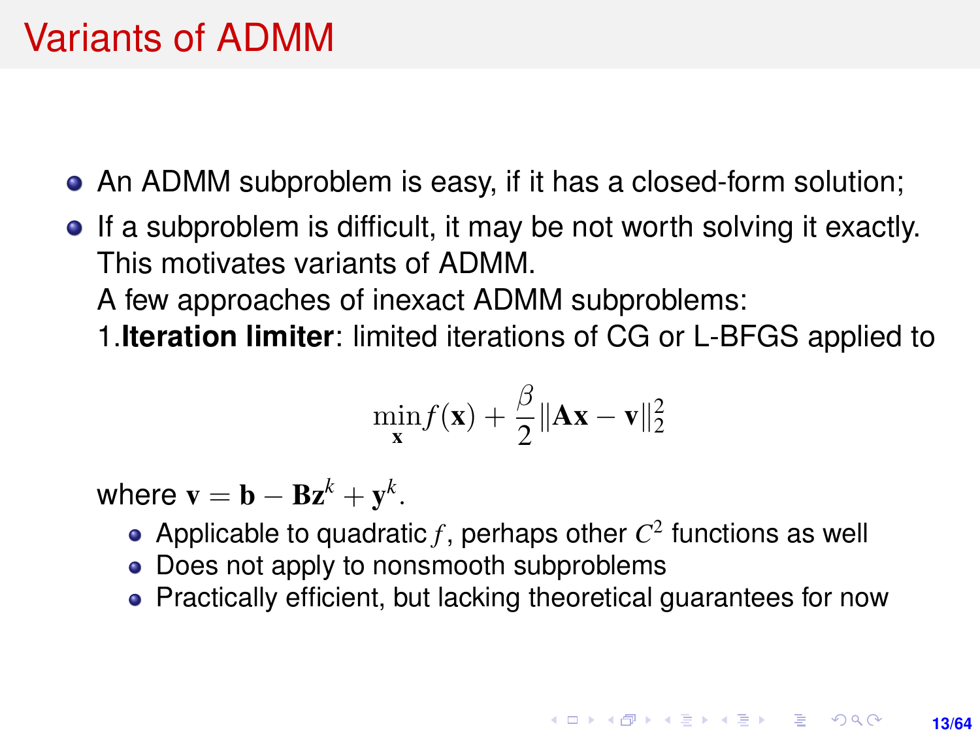- An ADMM subproblem is easy, if it has a closed-form solution;
- If a subproblem is difficult, it may be not worth solving it exactly. This motivates variants of ADMM.

A few approaches of inexact ADMM subproblems:

1.**Iteration limiter**: limited iterations of CG or L-BFGS applied to

$$
\min_{\mathbf{x}} f(\mathbf{x}) + \frac{\beta}{2} \|\mathbf{A}\mathbf{x} - \mathbf{v}\|_2^2
$$

where  $\mathbf{v} = \mathbf{b} - \mathbf{B} \mathbf{z}^k + \mathbf{y}^k$ .

- Applicable to quadratic  $f$ , perhaps other  $C^2$  functions as well
- Does not apply to nonsmooth subproblems
- Practically efficient, but lacking theoretical guarantees for now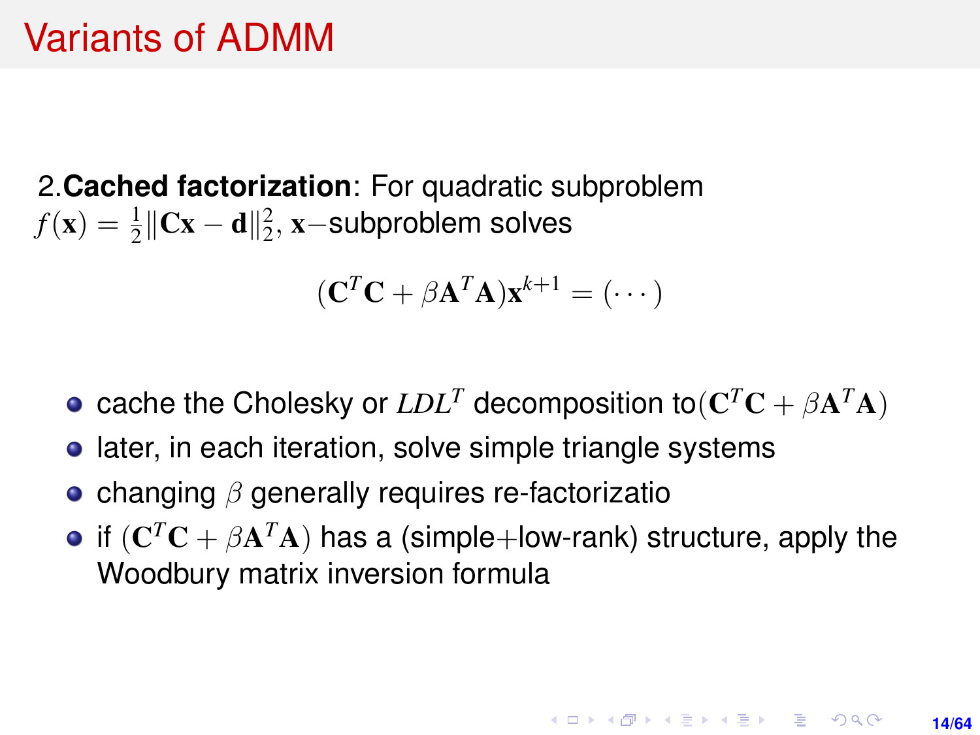2.**Cached factorization**: For quadratic subproblem  $f(\mathbf{x}) = \frac{1}{2} \|\mathbf{C}\mathbf{x} - \mathbf{d}\|_2^2$ , **x**−subproblem solves

$$
(\mathbf{C}^T\mathbf{C} + \beta \mathbf{A}^T\mathbf{A})\mathbf{x}^{k+1} = (\cdots)
$$

- cache the Cholesky or  $LDL^T$  decomposition to $(\mathbf{C}^T\mathbf{C} + \beta \mathbf{A}^T\mathbf{A})$
- **•** later, in each iteration, solve simple triangle systems
- changing  $\beta$  generally requires re-factorizatio
- if  $(\mathbf{C}^T\mathbf{C} + \beta \mathbf{A}^T\mathbf{A})$  has a (simple+low-rank) structure, apply the Woodbury matrix inversion formula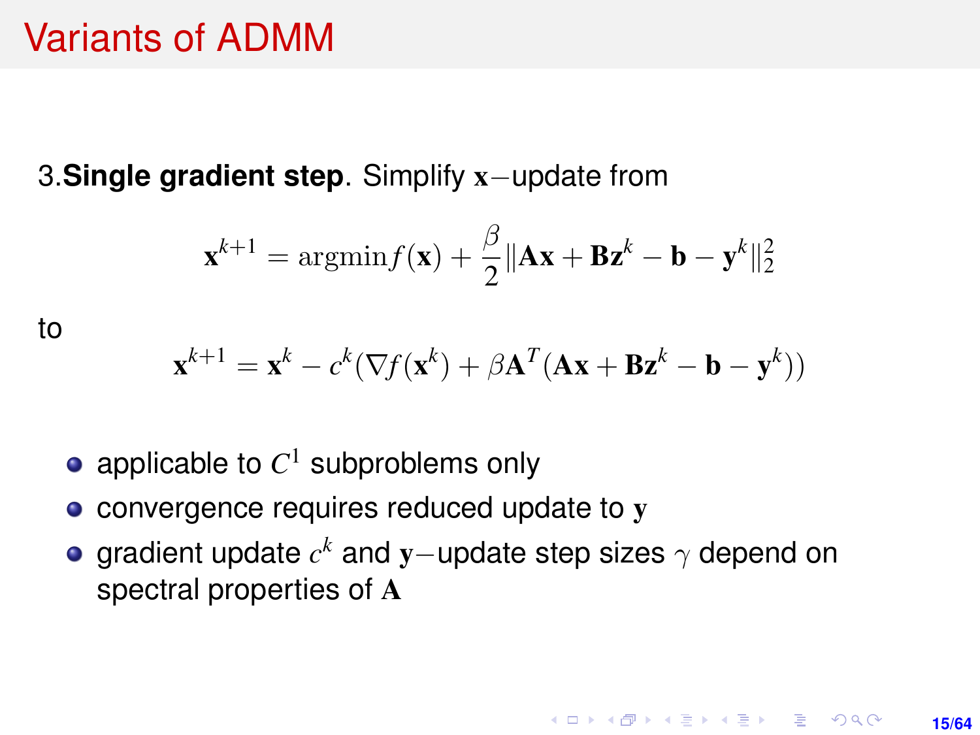<span id="page-14-0"></span>3.**Single gradient step**. Simplify x−update from

$$
\mathbf{x}^{k+1} = \operatorname{argmin} f(\mathbf{x}) + \frac{\beta}{2} \|\mathbf{A}\mathbf{x} + \mathbf{B}\mathbf{z}^k - \mathbf{b} - \mathbf{y}^k\|_2^2
$$

to

$$
\mathbf{x}^{k+1} = \mathbf{x}^k - c^k (\nabla f(\mathbf{x}^k) + \beta \mathbf{A}^T (\mathbf{A} \mathbf{x} + \mathbf{B} \mathbf{z}^k - \mathbf{b} - \mathbf{y}^k))
$$

- applicable to  $C^1$  subproblems only
- convergence requires reduced update to y
- gradient update  $c^k$  and  ${\bf y}-$ update step sizes  $\gamma$  depend on spectral properties of A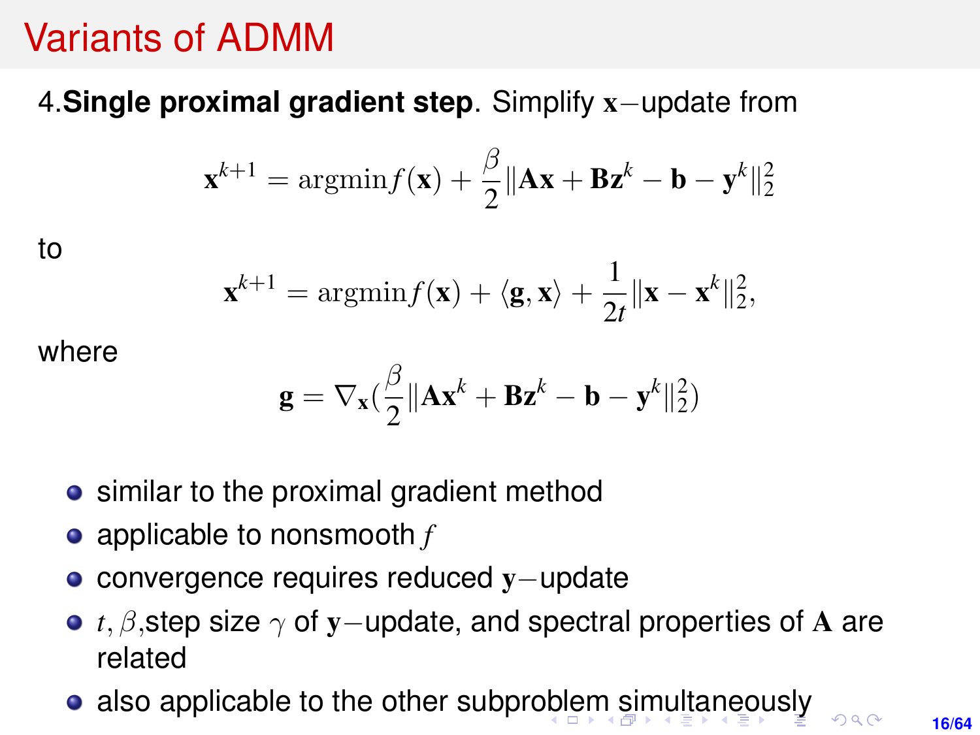### <span id="page-15-0"></span>4.**Single proximal gradient step**. Simplify x−update from

$$
\mathbf{x}^{k+1} = \operatorname{argmin} f(\mathbf{x}) + \frac{\beta}{2} \|\mathbf{A}\mathbf{x} + \mathbf{B}\mathbf{z}^k - \mathbf{b} - \mathbf{y}^k\|_2^2
$$

to

$$
\mathbf{x}^{k+1} = \operatorname{argmin} f(\mathbf{x}) + \langle \mathbf{g}, \mathbf{x} \rangle + \frac{1}{2t} \|\mathbf{x} - \mathbf{x}^k\|_2^2,
$$

where

$$
\mathbf{g} = \nabla_{\mathbf{x}}(\frac{\beta}{2}\Vert\mathbf{A}\mathbf{x}^k + \mathbf{B}\mathbf{z}^k - \mathbf{b} - \mathbf{y}^k\Vert_2^2)
$$

- similar to the proximal gradient method
- applicable to nonsmooth *f*
- convergence requires reduced y−update
- **•** *t*, *β*, step size  $\gamma$  of y−update, and spectral properties of A are related
- also applicable to the other subpr[obl](#page-14-0)[em](#page-16-0) [si](#page-15-0)[m](#page-16-0)[ul](#page-0-0)[ta](#page-63-0)[ne](#page-0-0)[ou](#page-63-0)[sl](#page-0-0)[y](#page-63-0)

 $\Omega$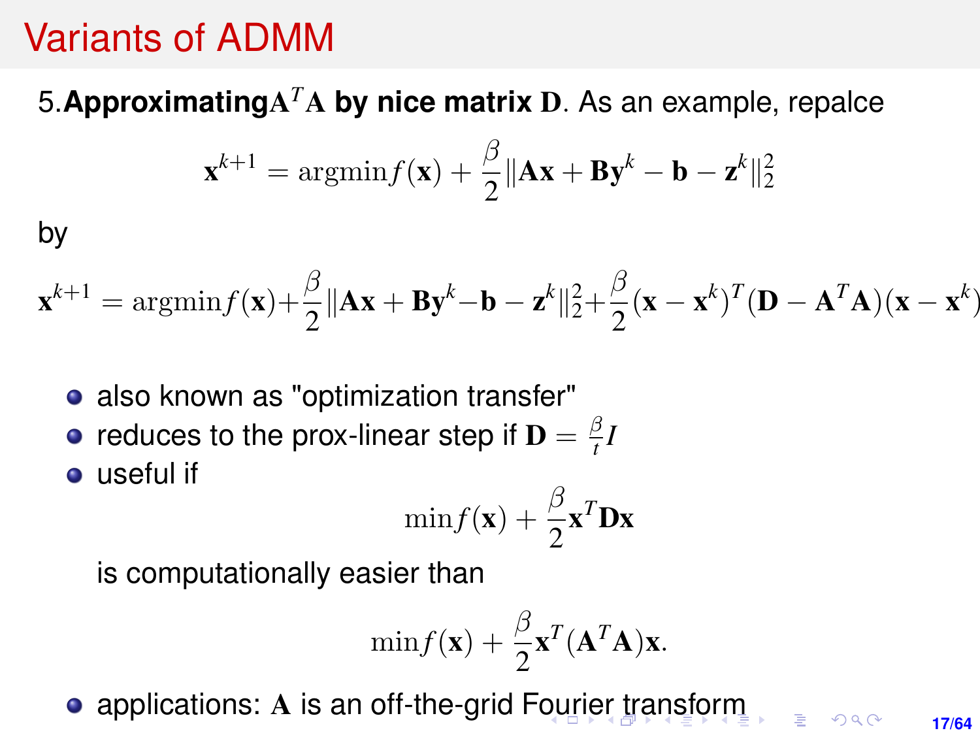### <span id="page-16-0"></span>5.**Approximating**A *<sup>T</sup>*A **by nice matrix** D. As an example, repalce

$$
\mathbf{x}^{k+1} = \operatorname{argmin} f(\mathbf{x}) + \frac{\beta}{2} \|\mathbf{A}\mathbf{x} + \mathbf{B}\mathbf{y}^k - \mathbf{b} - \mathbf{z}^k\|_2^2
$$

by

$$
\mathbf{x}^{k+1} = \operatorname{argmin} f(\mathbf{x}) + \frac{\beta}{2} ||\mathbf{A}\mathbf{x} + \mathbf{B}\mathbf{y}^k - \mathbf{b} - \mathbf{z}^k||_2^2 + \frac{\beta}{2} (\mathbf{x} - \mathbf{x}^k)^T (\mathbf{D} - \mathbf{A}^T \mathbf{A}) (\mathbf{x} - \mathbf{x}^k)
$$

- also known as "optimization transfer"
- reduces to the prox-linear step if  $\mathbf{D} = \frac{\beta}{t}$  $\frac{5}{t}$ *I*

**o** useful if

$$
\min f(\mathbf{x}) + \frac{\beta}{2} \mathbf{x}^T \mathbf{D} \mathbf{x}
$$

is computationally easier than

$$
\min f(\mathbf{x}) + \frac{\beta}{2} \mathbf{x}^T (\mathbf{A}^T \mathbf{A}) \mathbf{x}.
$$

• applications: A is an off-the-grid F[ou](#page-15-0)[rie](#page-17-0)[r](#page-15-0) [tr](#page-16-0)[a](#page-17-0)[ns](#page-0-0)[fo](#page-63-0)[rm](#page-0-0)

**17/64**

 $2Q$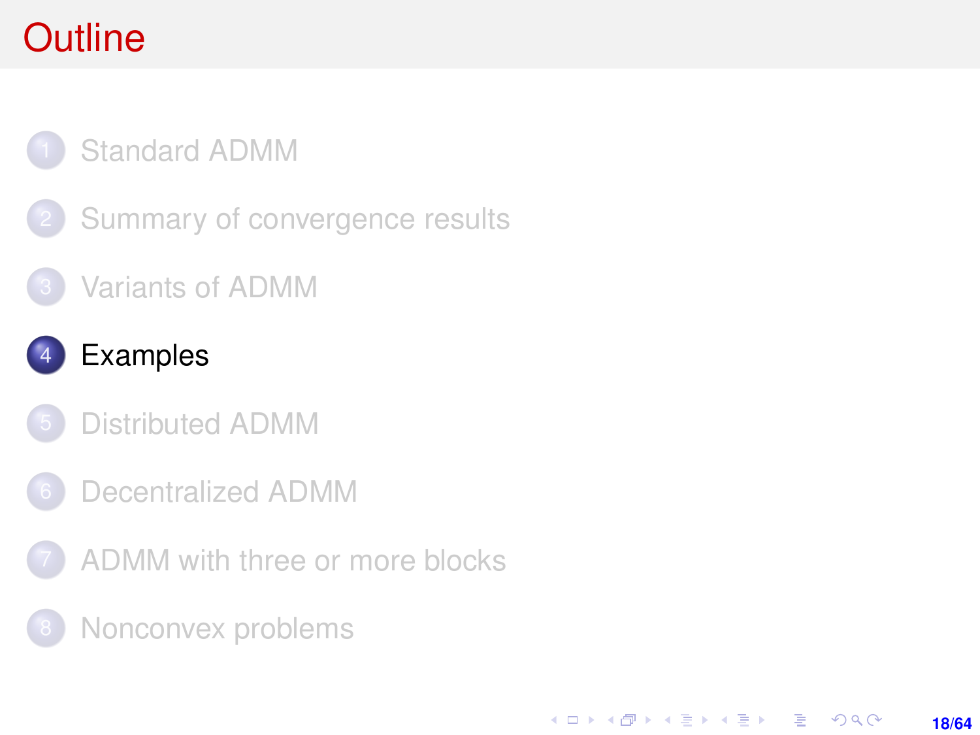# <span id="page-17-0"></span>**Outline**

### [Standard ADMM](#page-1-0)

- [Summary of convergence results](#page-7-0)
- [Variants of ADMM](#page-11-0)

### **[Examples](#page-17-0)**

- [Distributed ADMM](#page-30-0)
- 6 [Decentralized ADMM](#page-50-0)
- [ADMM with three or more blocks](#page-53-0)

**18/64**

KORK ERKER ERKER

[Nonconvex problems](#page-59-0)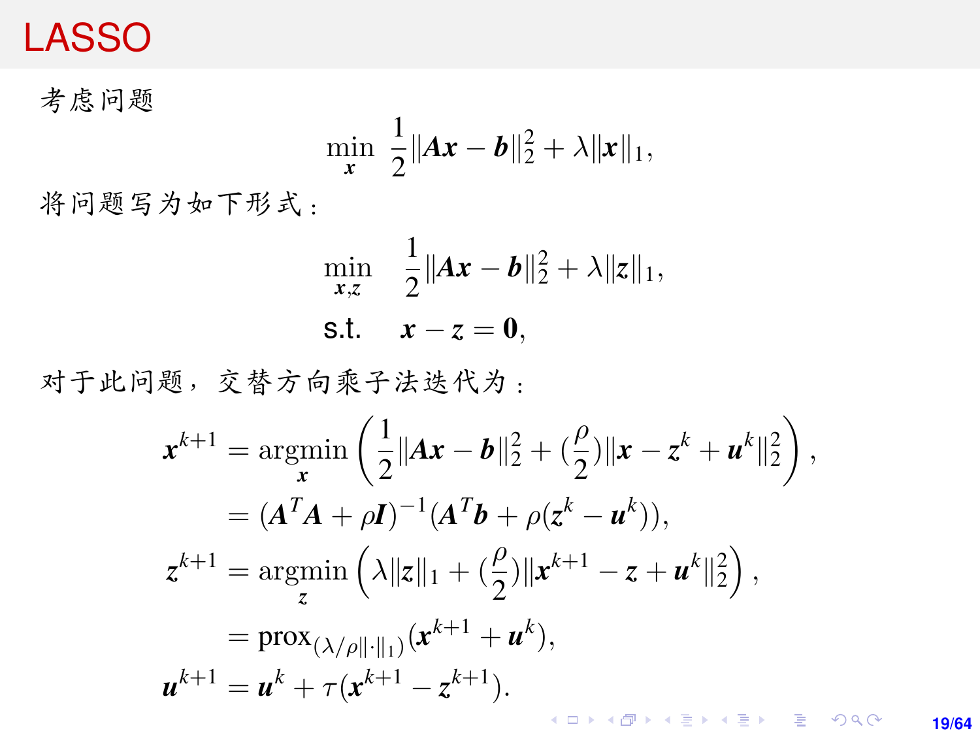### <span id="page-18-0"></span>LASSO

<sup>考</sup>虑问题

$$
\min_{\mathbf{x}} \ \frac{1}{2} \|A\mathbf{x} - \mathbf{b}\|_2^2 + \lambda \|\mathbf{x}\|_1,
$$

将问题写为如下形式:

$$
\min_{x,z} \quad \frac{1}{2} \|Ax - b\|_2^2 + \lambda \|z\|_1,
$$
  
s.t.  $x - z = 0$ ,

<sup>对</sup>于此问题,交替方向乘子法迭代为:

$$
\mathbf{x}^{k+1} = \underset{\mathbf{x}}{\operatorname{argmin}} \left( \frac{1}{2} ||A\mathbf{x} - \mathbf{b}||_2^2 + (\frac{\rho}{2}) ||\mathbf{x} - \mathbf{z}^k + \mathbf{u}^k||_2^2 \right),
$$
  
\n
$$
= (A^T A + \rho \mathbf{I})^{-1} (A^T \mathbf{b} + \rho (\mathbf{z}^k - \mathbf{u}^k)),
$$
  
\n
$$
\mathbf{z}^{k+1} = \underset{\mathbf{z}}{\operatorname{argmin}} \left( \lambda ||\mathbf{z}||_1 + (\frac{\rho}{2}) ||\mathbf{x}^{k+1} - \mathbf{z} + \mathbf{u}^k||_2^2 \right),
$$
  
\n
$$
= \underset{\mathbf{x}}{\operatorname{prox}} (\lambda/\rho ||\cdot||_1) (\mathbf{x}^{k+1} + \mathbf{u}^k),
$$
  
\n
$$
\mathbf{u}^{k+1} = \mathbf{u}^k + \tau (\mathbf{x}^{k+1} - \mathbf{z}^{k+1}).
$$

**19/64**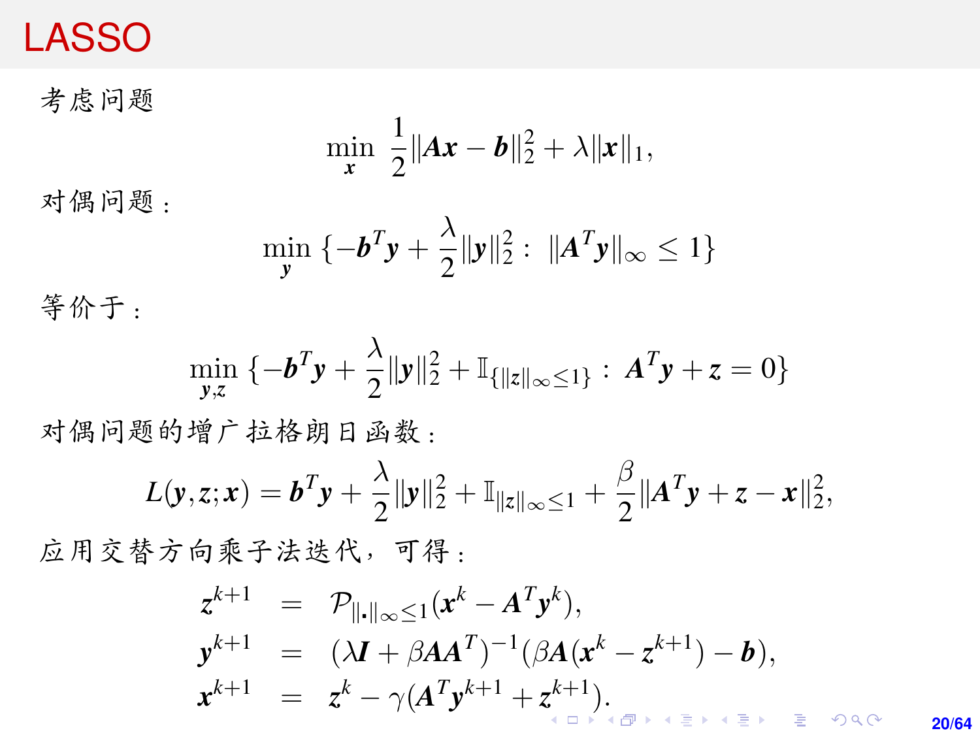### LASSO

<sup>考</sup>虑问题

$$
\min_{\mathbf{x}} \ \frac{1}{2} \|A\mathbf{x} - \mathbf{b}\|_2^2 + \lambda \|\mathbf{x}\|_1,
$$

<sup>对</sup>偶问题:

$$
\min_{\mathbf{y}} \ \{-\mathbf{b}^T \mathbf{y} + \frac{\lambda}{2} {\|\mathbf{y}\|_2^2} : \ \| \mathbf{A}^T \mathbf{y} \|_{\infty} \le 1 \}
$$

等价于:

$$
\min_{\mathbf{y},z} \ \{-\mathbf{b}^T \mathbf{y} + \frac{\lambda}{2} \|\mathbf{y}\|_2^2 + \mathbb{I}_{\{\|\mathbf{z}\|_{\infty} \leq 1\}} : \ \mathbf{A}^T \mathbf{y} + z = 0\}
$$

<sup>对</sup>偶问题的增广拉格朗日函数:

$$
L(\mathbf{y}, z; \mathbf{x}) = \mathbf{b}^T \mathbf{y} + \frac{\lambda}{2} {\lVert \mathbf{y} \rVert_2^2} + {\mathbb{I}}_{\lVert z \rVert_{\infty} \leq 1} + \frac{\beta}{2} {\lVert \mathbf{A}^T \mathbf{y} + z - \mathbf{x} \rVert_2^2},
$$

<sup>应</sup>用交替方向乘子法迭代,可得:

$$
z^{k+1} = \mathcal{P}_{\|\cdot\|_{\infty}\leq 1}(x^k - A^T y^k),
$$
  
\n
$$
y^{k+1} = (\lambda I + \beta A A^T)^{-1}(\beta A (x^k - z^{k+1}) - b),
$$
  
\n
$$
x^{k+1} = z^k - \gamma (A^T y^{k+1} + z^{k+1}).
$$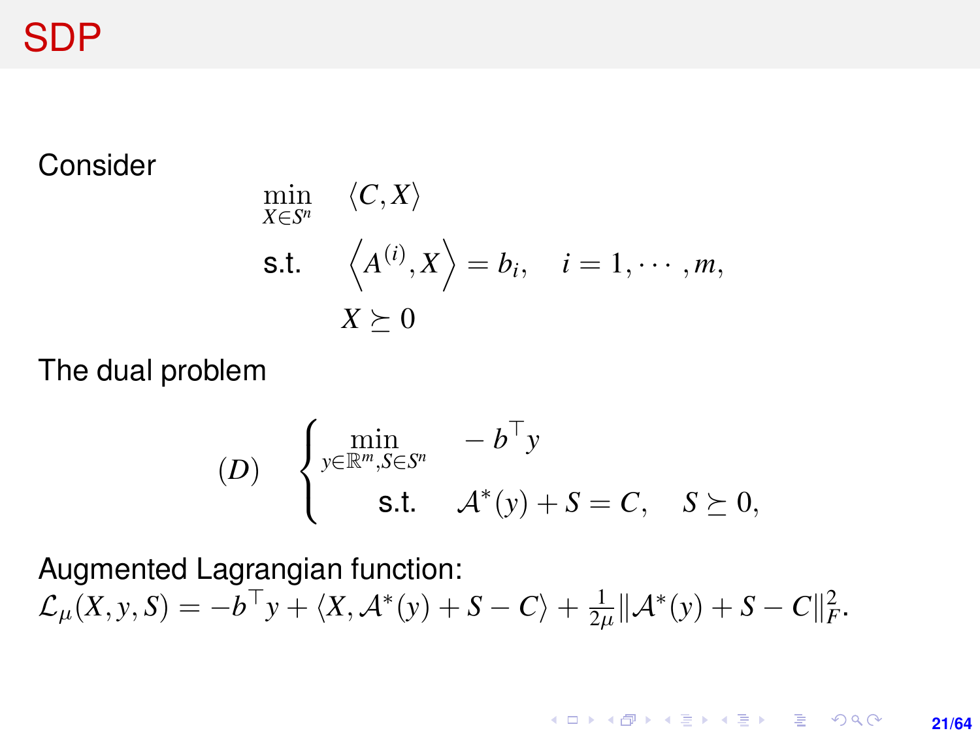<span id="page-20-0"></span>SDP

#### Consider

$$
\min_{X \in S^n} \langle C, X \rangle
$$
  
s.t.  $\langle A^{(i)}, X \rangle = b_i, \quad i = 1, \dots, m,$   
 $X \succeq 0$ 

The dual problem

$$
(D) \quad \begin{cases} \min_{y \in \mathbb{R}^m, S \in S^n} & -b^\top y \\ \text{s.t.} & \mathcal{A}^*(y) + S = C, \quad S \succeq 0, \end{cases}
$$

Augmented Lagrangian function:

$$
\mathcal{L}_{\mu}(X, y, S) = -b^{\top}y + \langle X, \mathcal{A}^*(y) + S - C \rangle + \frac{1}{2\mu} ||\mathcal{A}^*(y) + S - C||_F^2.
$$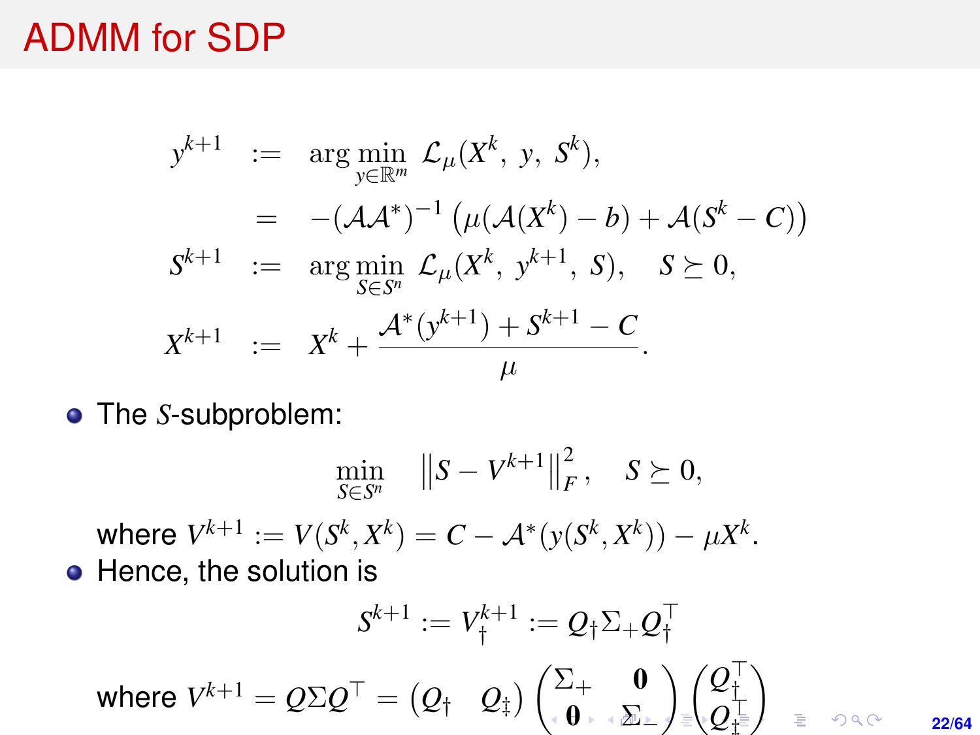### <span id="page-21-0"></span>ADMM for SDP

$$
y^{k+1} := \arg \min_{y \in \mathbb{R}^m} \mathcal{L}_{\mu}(X^k, y, S^k),
$$
  
\n
$$
= -(\mathcal{A}\mathcal{A}^*)^{-1} (\mu(\mathcal{A}(X^k) - b) + \mathcal{A}(S^k - C))
$$
  
\n
$$
S^{k+1} := \arg \min_{S \in S^n} \mathcal{L}_{\mu}(X^k, y^{k+1}, S), S \succeq 0,
$$
  
\n
$$
X^{k+1} := X^k + \frac{\mathcal{A}^*(y^{k+1}) + S^{k+1} - C}{\mu}.
$$

The *S*-subproblem:

$$
\min_{S \in S^n} \|S - V^{k+1}\|_F^2, \quad S \succeq 0,
$$
  
where  $V^{k+1} := V(S^k, X^k) = C - \mathcal{A}^*(y(S^k, X^k)) - \mu X^k.$ 

• Hence, the solution is

$$
S^{k+1} := V_{\dagger}^{k+1} := \mathcal{Q}_{\dagger} \Sigma_+ \mathcal{Q}_{\dagger}^\top
$$
\n
$$
\text{where } V^{k+1} = \mathcal{Q} \Sigma \mathcal{Q}^\top = \begin{pmatrix} \mathcal{Q}_{\dagger} & \mathcal{Q}_{\dagger} \end{pmatrix} \begin{pmatrix} \Sigma_+ & \mathbf{0} \\ \mathbf{0} & \Sigma_- \end{pmatrix} \begin{pmatrix} \mathcal{Q}_{\dagger}^\top \\ \mathcal{Q}_{\dagger}^\top \end{pmatrix} \quad \mathbf{a}
$$

 $2Q$ **22/64**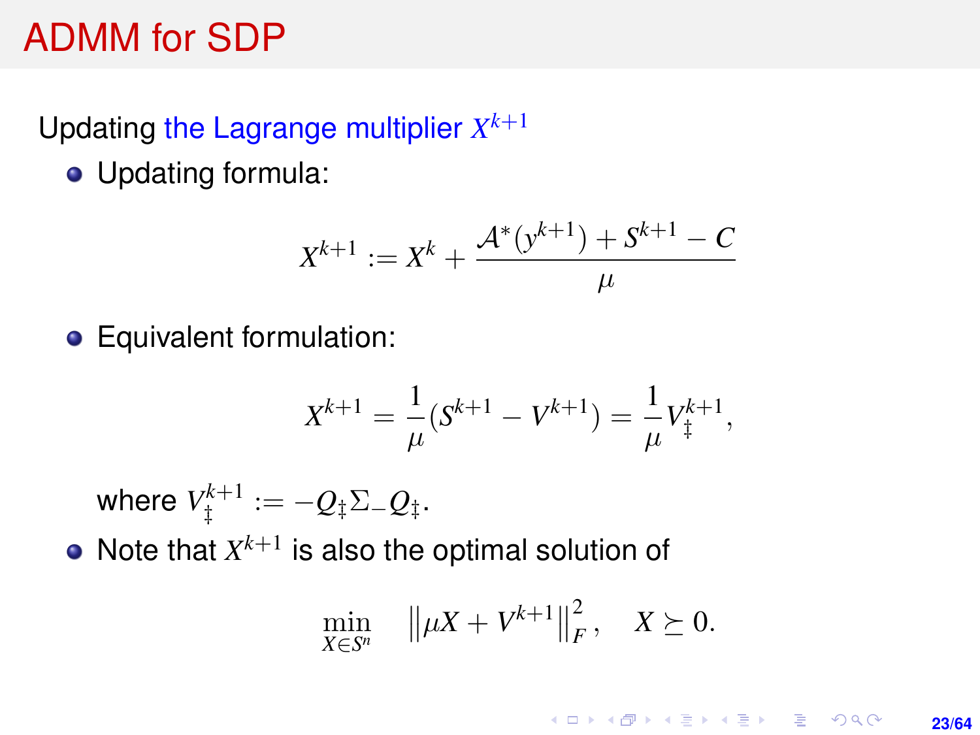### <span id="page-22-0"></span>ADMM for SDP

### Updating the Lagrange multiplier  $X^{k+1}$

• Updating formula:

$$
X^{k+1} := X^k + \frac{\mathcal{A}^*(y^{k+1}) + S^{k+1} - C}{\mu}
$$

• Equivalent formulation:

$$
X^{k+1} = \frac{1}{\mu}(S^{k+1} - V^{k+1}) = \frac{1}{\mu}V_{\ddagger}^{k+1},
$$

 $\mathsf{where} \; V_\ddagger^{k+1} := -Q_\ddagger \Sigma_- Q_\ddagger.$ 

Note that  $X^{k+1}$  is also the optimal solution of

$$
\min_{X \in S^n} \quad \left\| \mu X + V^{k+1} \right\|_F^2, \quad X \succeq 0.
$$

**KORKARK A BIK BIKA A GA A GA A GA A BIKA A BIKA A BIKA A BIKA A BIKA A BIKA A BIKA A BIKA A BIKA A BIKA A BIKA** 

**23/64**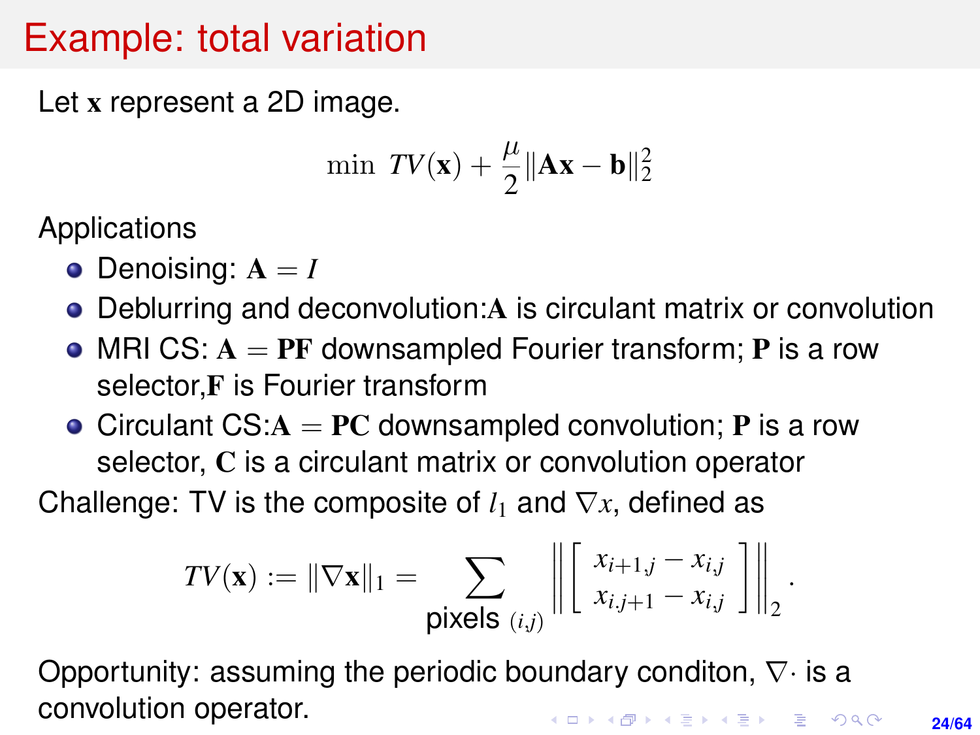### <span id="page-23-0"></span>Example: total variation

Let x represent a 2D image.

$$
\min \; TV(\mathbf{x}) + \frac{\mu}{2} \|\mathbf{A}\mathbf{x} - \mathbf{b}\|_2^2
$$

Applications

- $\bullet$  Denoising:  $A = I$
- Deblurring and deconvolution:A is circulant matrix or convolution
- MRI CS:  $A = PF$  downsampled Fourier transform; P is a row selector, F is Fourier transform
- Circulant  $CS: A = PC$  downsampled convolution; **P** is a row selector, C is a circulant matrix or convolution operator

Challenge: TV is the composite of  $l_1$  and  $\nabla x$ , defined as

$$
TV(\mathbf{x}) := \|\nabla \mathbf{x}\|_1 = \sum_{\text{pixels } (i,j)} \left\| \begin{bmatrix} x_{i+1,j} - x_{i,j} \\ x_{i,j+1} - x_{i,j} \end{bmatrix} \right\|_2
$$

Opportunity: assuming the periodic boundary conditon,  $\nabla \cdot$  is a convolution operator.**KORKARK A BIK BIKA A GA A GA A GA A BIKA A BIKA A BIKA A BIKA A BIKA A BIKA A BIKA A BIKA A BIKA A BIKA A BIKA** 

.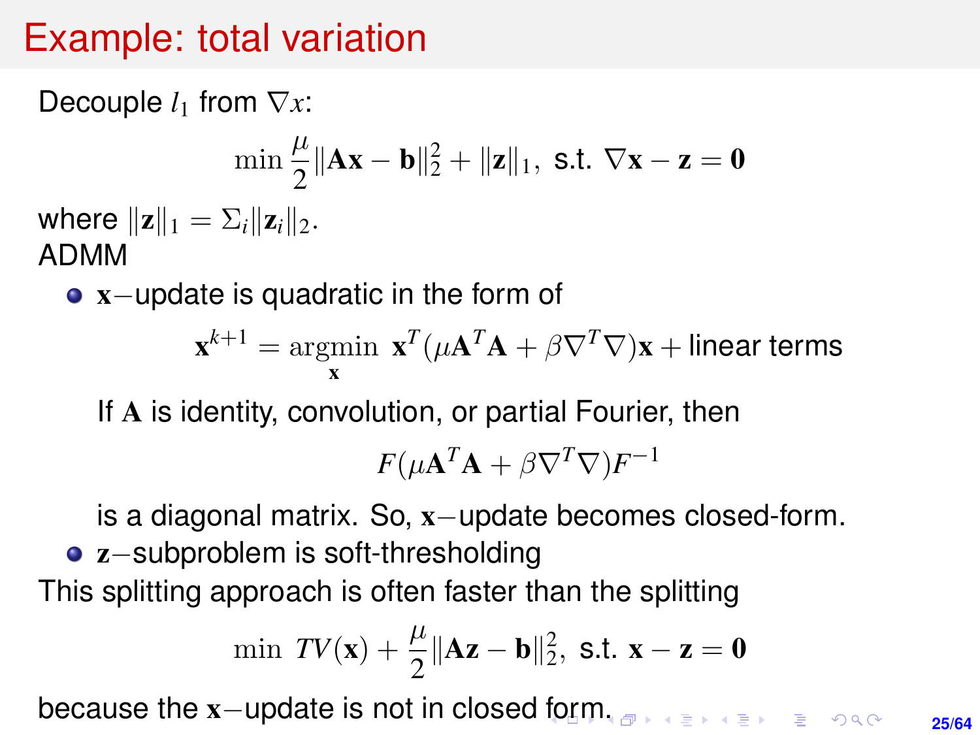### Example: total variation

Decouple *l*<sub>1</sub> from  $∇x$ :

$$
\min \frac{\mu}{2} \|\mathbf{A}\mathbf{x} - \mathbf{b}\|_2^2 + \|\mathbf{z}\|_1, \text{ s.t. } \nabla \mathbf{x} - \mathbf{z} = \mathbf{0}
$$
  
where  $\|\mathbf{z}\|_1 = \sum_i \|\mathbf{z}_i\|_2$ .  
ADMM

x−update is quadratic in the form of

$$
\mathbf{x}^{k+1} = \operatorname*{argmin}_{\mathbf{x}} \ \mathbf{x}^T (\mu \mathbf{A}^T \mathbf{A} + \beta \nabla^T \nabla) \mathbf{x} + \text{linear terms}
$$

If A is identity, convolution, or partial Fourier, then

$$
F(\mu \mathbf{A}^T \mathbf{A} + \beta \nabla^T \nabla) F^{-1}
$$

is a diagonal matrix. So, x−update becomes closed-form.

z−subproblem is soft-thresholding This splitting approach is often faster than the splitting

$$
\min \; TV(x) + \frac{\mu}{2} \|Ax - b\|_2^2, \; s.t. \; x - z = 0
$$

because the x-update is not in closed [fo](#page-23-0)r[m](#page-25-0)[.](#page-23-0)

**25/64**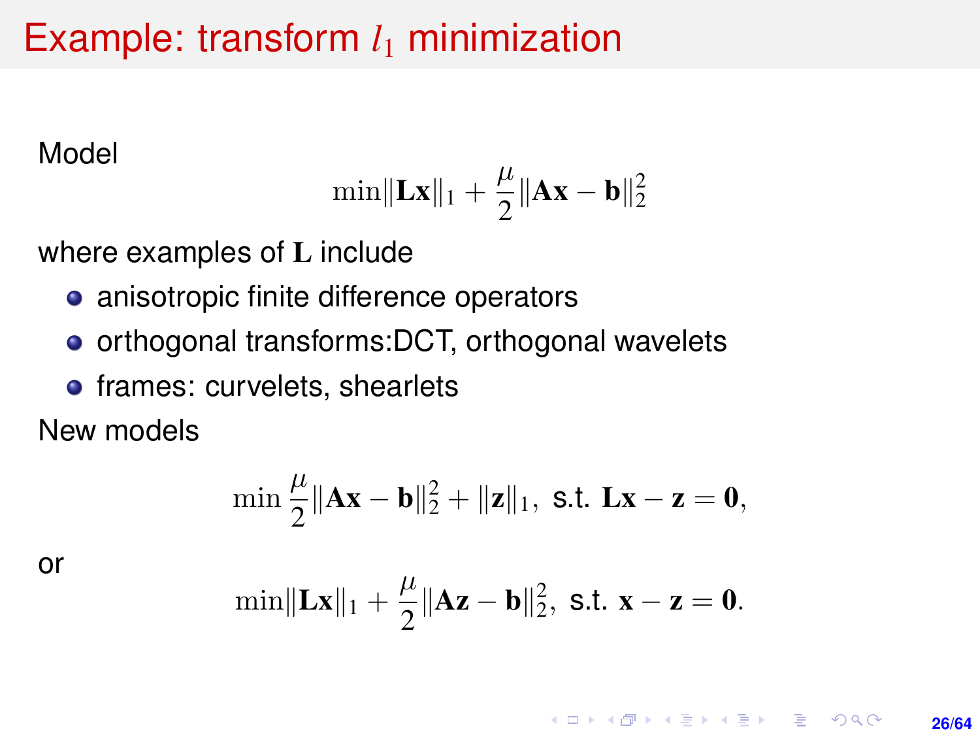### <span id="page-25-0"></span>Example: transform  $l_1$  minimization

Model

$$
\min\lVert\boldsymbol{L}\boldsymbol{x}\rVert_1+\frac{\mu}{2}\lVert\boldsymbol{A}\boldsymbol{x}-\boldsymbol{b}\rVert_2^2
$$

where examples of L include

- anisotropic finite difference operators
- orthogonal transforms:DCT, orthogonal wavelets
- **•** frames: curvelets, shearlets

New models

$$
\min \frac{\mu}{2} \|\mathbf{A}\mathbf{x} - \mathbf{b}\|_2^2 + \|\mathbf{z}\|_1, \text{ s.t. } \mathbf{L}\mathbf{x} - \mathbf{z} = \mathbf{0},
$$

or

$$
\min\|Lx\|_1+\frac{\mu}{2}\|Az-b\|_2^2, \text{ s.t. } x-z=0.
$$

**KORKARK A BIK BIKA A GA A GA A GA A BIKA A BIKA A BIKA A BIKA A BIKA A BIKA A BIKA A BIKA A BIKA A BIKA A BIKA 26/64**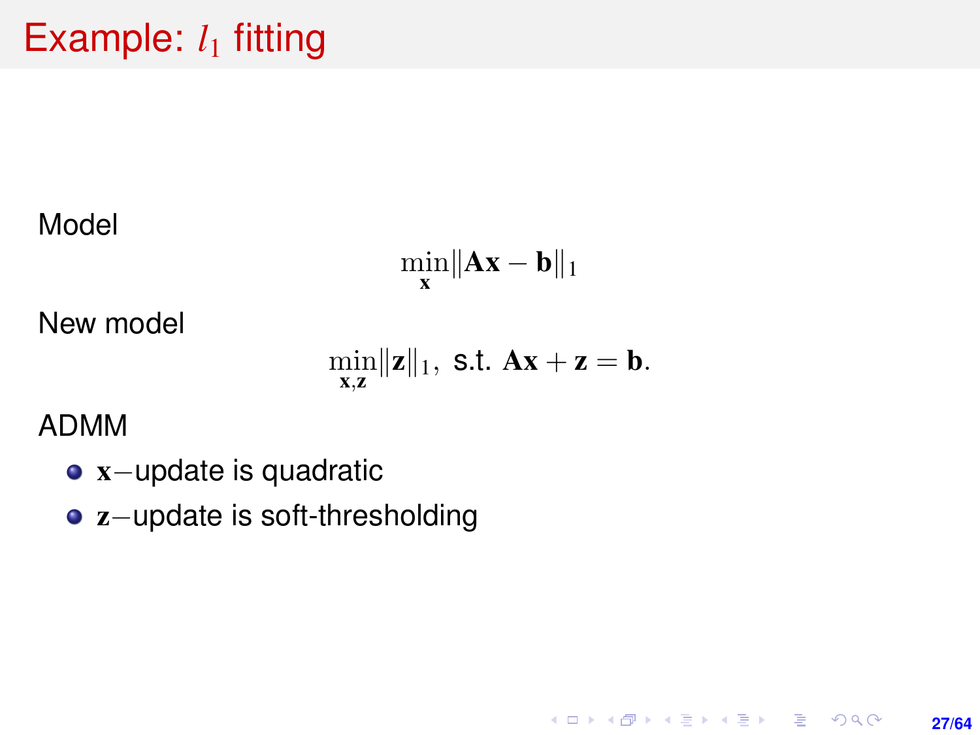# Example:  $l_1$  fitting

Model

$$
\min_{\mathbf{x}} \|\mathbf{A}\mathbf{x} - \mathbf{b}\|_1
$$

New model

$$
\min_{\mathbf{x},\mathbf{z}} \|\mathbf{z}\|_1, \text{ s.t. } \mathbf{A}\mathbf{x} + \mathbf{z} = \mathbf{b}.
$$

**27/64**

K ロ ▶ K @ ▶ K 할 ▶ K 할 ▶ ... 할 → 9 Q @

ADMM

- x−update is quadratic
- z−update is soft-thresholding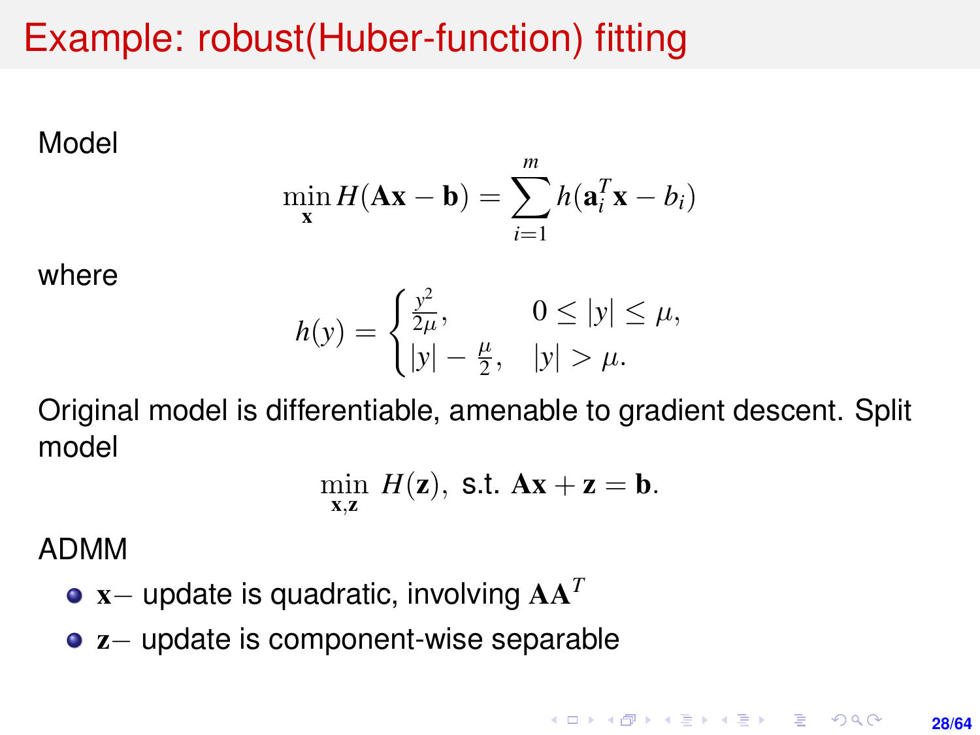### Example: robust(Huber-function) fitting

Model

$$
\min_{\mathbf{x}} H(\mathbf{A}\mathbf{x} - \mathbf{b}) = \sum_{i=1}^{m} h(\mathbf{a}_i^T \mathbf{x} - b_i)
$$

where

$$
h(y) = \begin{cases} \frac{y^2}{2\mu}, & 0 \le |y| \le \mu, \\ |y| - \frac{\mu}{2}, & |y| > \mu. \end{cases}
$$

Original model is differentiable, amenable to gradient descent. Split model

$$
\min_{\mathbf{x},\mathbf{z}} H(\mathbf{z}), \text{ s.t. } \mathbf{A}\mathbf{x} + \mathbf{z} = \mathbf{b}.
$$

ADMM

- x− update is quadratic, involving AA*<sup>T</sup>*
- z− update is component-wise separable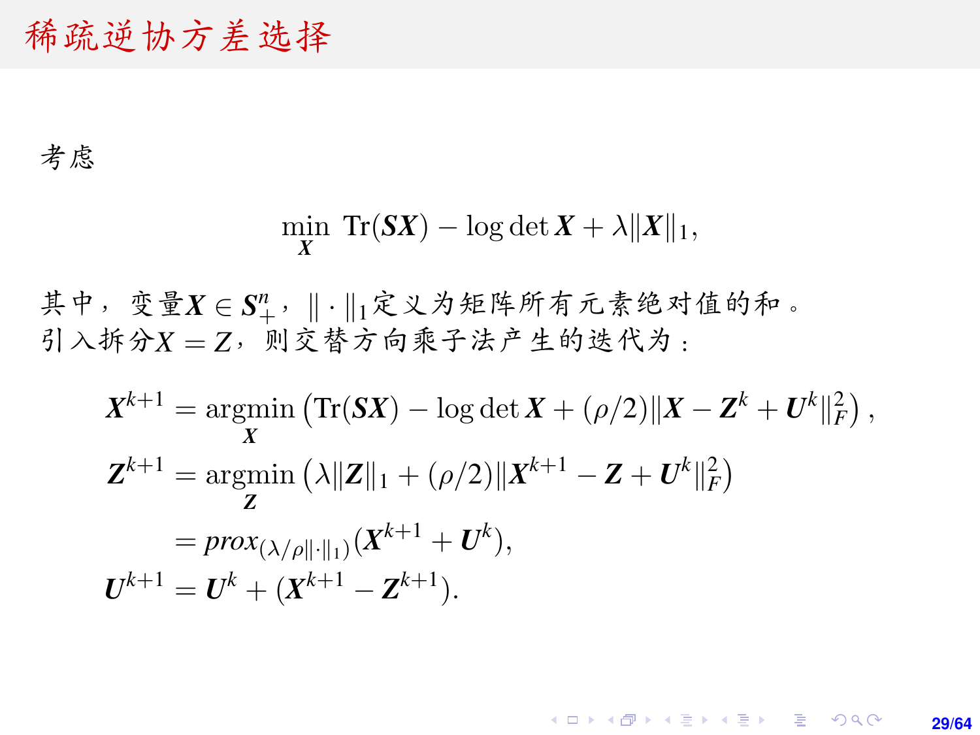### 稀疏逆协方差选择

#### 考虑

$$
\min_{X} \; \text{Tr}(SX) - \log \det X + \lambda \|X\|_1,
$$

其中,变量 $X \in S^n_+$ , || · ||1定义为矩阵所有元素绝对值的和。<br>引入拆分X-7, 则交替方向乘子法产生的迭代为, 引入拆分*<sup>X</sup>* <sup>=</sup> *<sup>Z</sup>*,则交替方向乘子法产生的迭代为:

$$
X^{k+1} = \underset{X}{\operatorname{argmin}} (\text{Tr}(SX) - \log \det X + (\rho/2) \|X - \mathbf{Z}^{k} + \mathbf{U}^{k}\|_{F}^{2}),
$$
  
\n
$$
\mathbf{Z}^{k+1} = \underset{\mathbf{Z}}{\operatorname{argmin}} (\lambda \| \mathbf{Z} \|_{1} + (\rho/2) \|X^{k+1} - \mathbf{Z} + \mathbf{U}^{k}\|_{F}^{2})
$$
  
\n
$$
= \underset{X}{\operatorname{prox}} (\lambda/\rho \| \cdot \|_{1}) (X^{k+1} + \mathbf{U}^{k}),
$$
  
\n
$$
\mathbf{U}^{k+1} = \mathbf{U}^{k} + (X^{k+1} - \mathbf{Z}^{k+1}).
$$

#### **KOD KAP KED KED E YORA 29/64**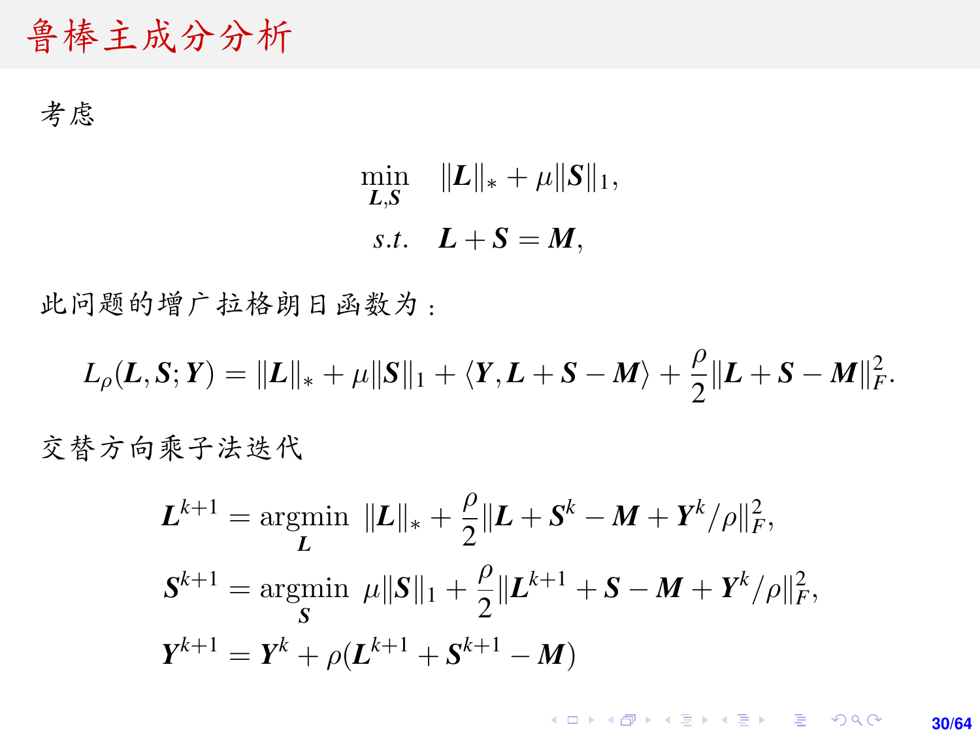<sup>鲁</sup>棒主成分分<sup>析</sup>

考虑

$$
\min_{\mathbf{L},\mathbf{S}} \quad \|\mathbf{L}\|_{*} + \mu \|\mathbf{S}\|_{1},
$$
  
s.t. 
$$
\mathbf{L} + \mathbf{S} = \mathbf{M},
$$

此问题的增广拉格朗日函数为:

$$
L_{\rho}(\boldsymbol{L},\boldsymbol{S};\boldsymbol{Y})=\|\boldsymbol{L}\|_{*}+\mu\|\boldsymbol{S}\|_{1}+\langle \boldsymbol{Y},\boldsymbol{L}+\boldsymbol{S}-\boldsymbol{M}\rangle+\frac{\rho}{2}\|\boldsymbol{L}+\boldsymbol{S}-\boldsymbol{M}\|_{F}^{2}.
$$

交替方向乘子法迭代

$$
L^{k+1} = \underset{L}{\operatorname{argmin}} \ \|L\|_{*} + \frac{\rho}{2} \|L + S^{k} - M + Y^{k}/\rho\|_{F}^{2},
$$
  

$$
S^{k+1} = \underset{S}{\operatorname{argmin}} \ \mu \|S\|_{1} + \frac{\rho}{2} \|L^{k+1} + S - M + Y^{k}/\rho\|_{F}^{2},
$$
  

$$
Y^{k+1} = Y^{k} + \rho(L^{k+1} + S^{k+1} - M)
$$

K ロ ▶ K @ ▶ K 할 ▶ K 할 ▶ 이 할 → 9 Q @ **30/64**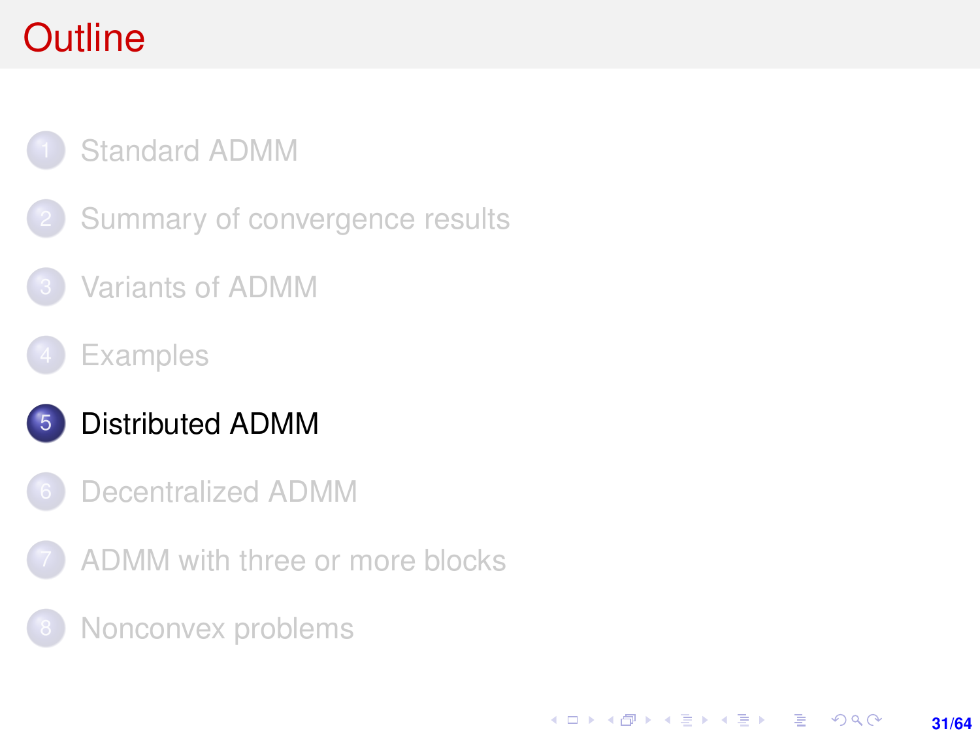# <span id="page-30-0"></span>**Outline**

### [Standard ADMM](#page-1-0)

- [Summary of convergence results](#page-7-0)
- [Variants of ADMM](#page-11-0)
- **[Examples](#page-17-0)**

### 5 [Distributed ADMM](#page-30-0)

- [Decentralized ADMM](#page-50-0)
- [ADMM with three or more blocks](#page-53-0)

**31/64**

KORK ERKER ERKER

[Nonconvex problems](#page-59-0)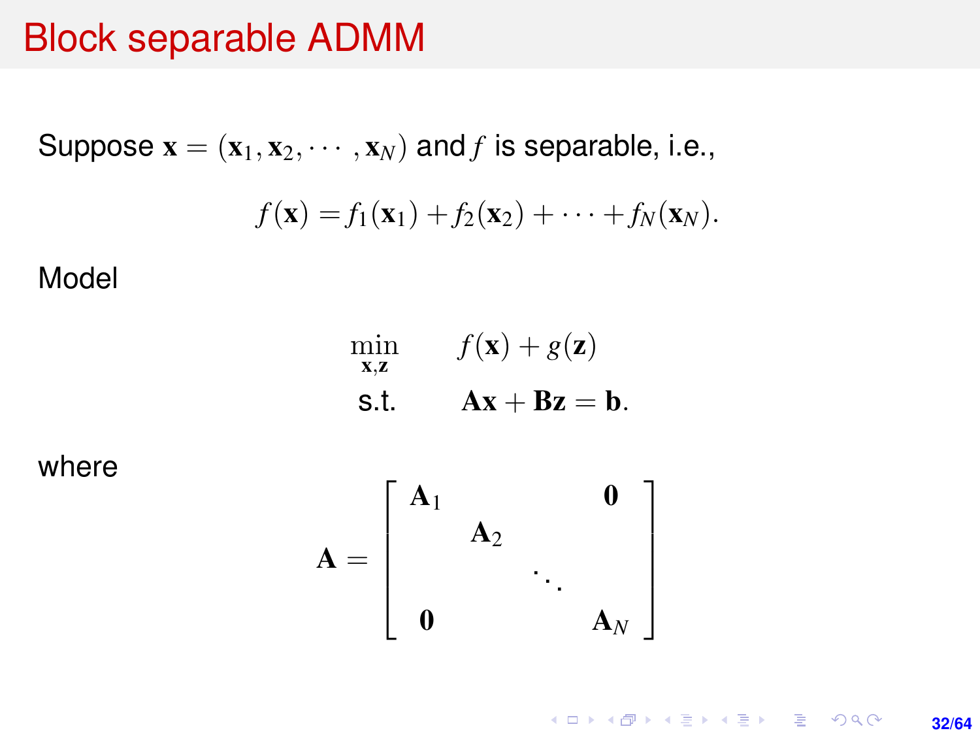### Block separable ADMM

Suppose 
$$
\mathbf{x} = (\mathbf{x}_1, \mathbf{x}_2, \cdots, \mathbf{x}_N)
$$
 and  $f$  is separable, i.e.,  

$$
f(\mathbf{x}) = f_1(\mathbf{x}_1) + f_2(\mathbf{x}_2) + \cdots + f_N(\mathbf{x}_N).
$$

Model

$$
\min_{\mathbf{x}, \mathbf{z}} f(\mathbf{x}) + g(\mathbf{z})
$$
  
s.t. 
$$
\mathbf{A}\mathbf{x} + \mathbf{B}\mathbf{z} = \mathbf{b}.
$$

where

$$
\mathbf{A} = \left[ \begin{array}{ccc} \mathbf{A}_1 & & \mathbf{0} \\ & \mathbf{A}_2 & & \\ & & \ddots & \\ \mathbf{0} & & & \mathbf{A}_N \end{array} \right]
$$

K ロ X (日) X (日) X (日) X (日) X (日) X (日) X (日) X (日) X (日) X (日) X (日) **32/64**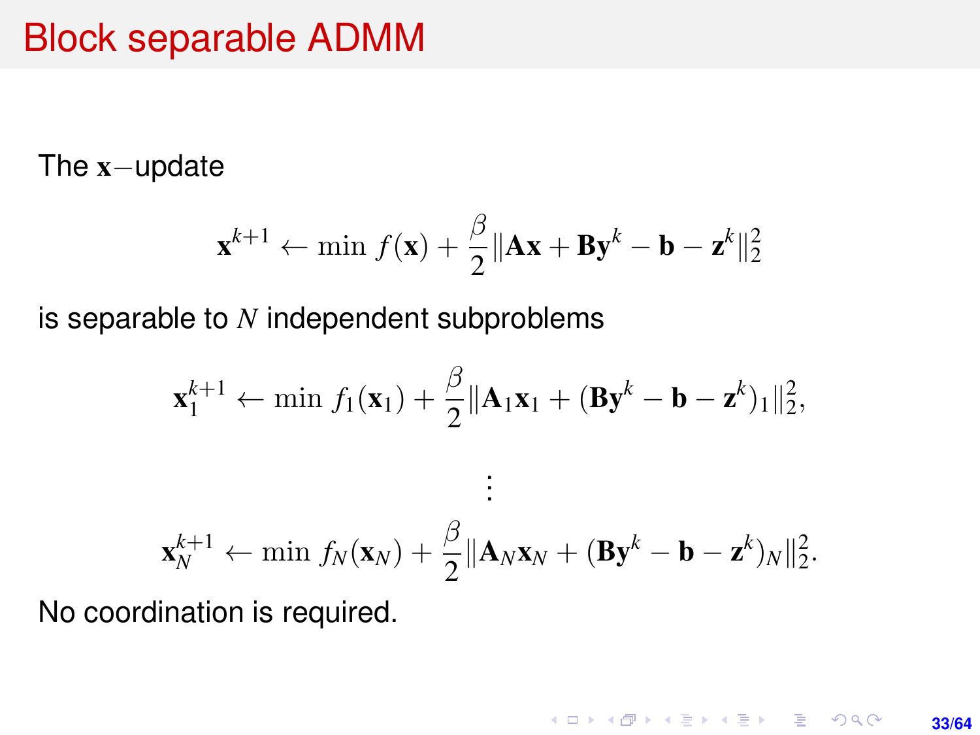### Block separable ADMM

#### The x−update

$$
\mathbf{x}^{k+1} \leftarrow \min f(\mathbf{x}) + \frac{\beta}{2} \|\mathbf{A}\mathbf{x} + \mathbf{B}\mathbf{y}^k - \mathbf{b} - \mathbf{z}^k\|_2^2
$$

is separable to *N* independent subproblems

$$
\mathbf{x}_{1}^{k+1} \leftarrow \min f_{1}(\mathbf{x}_{1}) + \frac{\beta}{2} ||\mathbf{A}_{1}\mathbf{x}_{1} + (\mathbf{B}\mathbf{y}^{k} - \mathbf{b} - \mathbf{z}^{k})_{1}||_{2}^{2},
$$
  
 
$$
\vdots
$$
  

$$
\mathbf{x}_{N}^{k+1} \leftarrow \min f_{N}(\mathbf{x}_{N}) + \frac{\beta}{2} ||\mathbf{A}_{N}\mathbf{x}_{N} + (\mathbf{B}\mathbf{y}^{k} - \mathbf{b} - \mathbf{z}^{k})_{N}||_{2}^{2}.
$$

No coordination is required.

K ロ ▶ K @ ▶ K 할 ▶ K 할 ▶ 이 할 → 9 Q @ **33/64**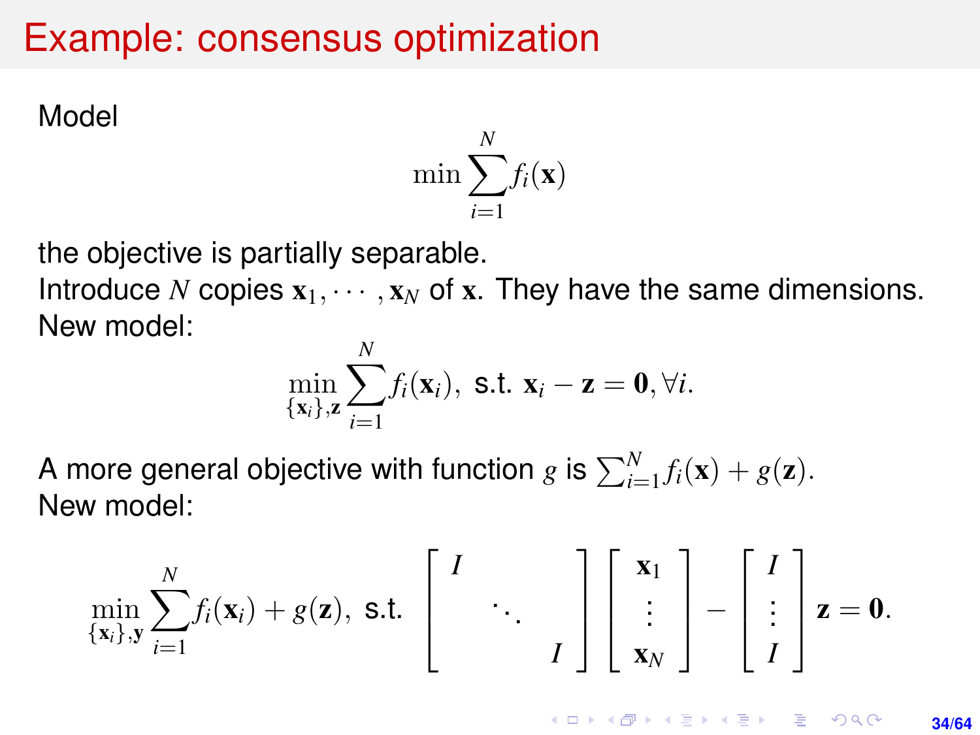### Example: consensus optimization

Model

$$
\min \sum_{i=1}^N f_i(\mathbf{x})
$$

the objective is partially separable.

Introduce *N* copies  $x_1, \dots, x_N$  of x. They have the same dimensions. New model:

$$
\min_{\{\mathbf{x}_i\},\mathbf{z}} \sum_{i=1}^N f_i(\mathbf{x}_i), \text{ s.t. } \mathbf{x}_i - \mathbf{z} = \mathbf{0}, \forall i.
$$

A more general objective with function  $g$  is  $\sum_{i=1}^{N} f_i(\mathbf{x}) + g(\mathbf{z})$ . New model:

$$
\min_{\{\mathbf{x}_i\},\mathbf{y}} \sum_{i=1}^N f_i(\mathbf{x}_i) + g(\mathbf{z}), \text{ s.t. } \begin{bmatrix} I \\ & \ddots \\ & & I \end{bmatrix} \begin{bmatrix} \mathbf{x}_1 \\ \vdots \\ \mathbf{x}_N \end{bmatrix} - \begin{bmatrix} I \\ \vdots \\ I \end{bmatrix} \mathbf{z} = \mathbf{0}.
$$

**KORKARK KERKER DRAM 34/64**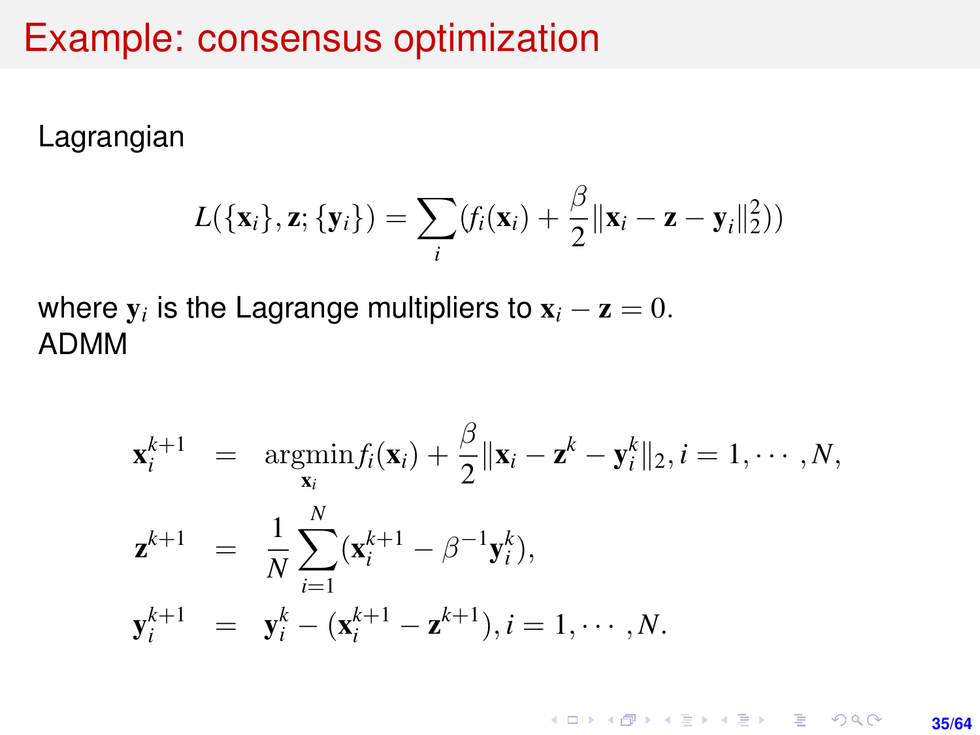### Example: consensus optimization

Lagrangian

$$
L(\{\mathbf{x}_i\},\mathbf{z};\{\mathbf{y}_i\}) = \sum_i (f_i(\mathbf{x}_i) + \frac{\beta}{2} ||\mathbf{x}_i - \mathbf{z} - \mathbf{y}_i||_2^2))
$$

where  $\mathbf{y}_i$  is the Lagrange multipliers to  $\mathbf{x}_i - \mathbf{z} = 0$ . ADMM

$$
\mathbf{x}_{i}^{k+1} = \underset{\mathbf{x}_{i}}{\operatorname{argmin}} f_{i}(\mathbf{x}_{i}) + \frac{\beta}{2} \|\mathbf{x}_{i} - \mathbf{z}^{k} - \mathbf{y}_{i}^{k}\|_{2}, i = 1, \cdots, N,
$$
  

$$
\mathbf{z}^{k+1} = \frac{1}{N} \sum_{i=1}^{N} (\mathbf{x}_{i}^{k+1} - \beta^{-1} \mathbf{y}_{i}^{k}),
$$
  

$$
\mathbf{y}_{i}^{k+1} = \mathbf{y}_{i}^{k} - (\mathbf{x}_{i}^{k+1} - \mathbf{z}^{k+1}), i = 1, \cdots, N.
$$

K ロ ▶ K @ ▶ K 할 ▶ K 할 ▶ 이 할 → 9 Q @ **35/64**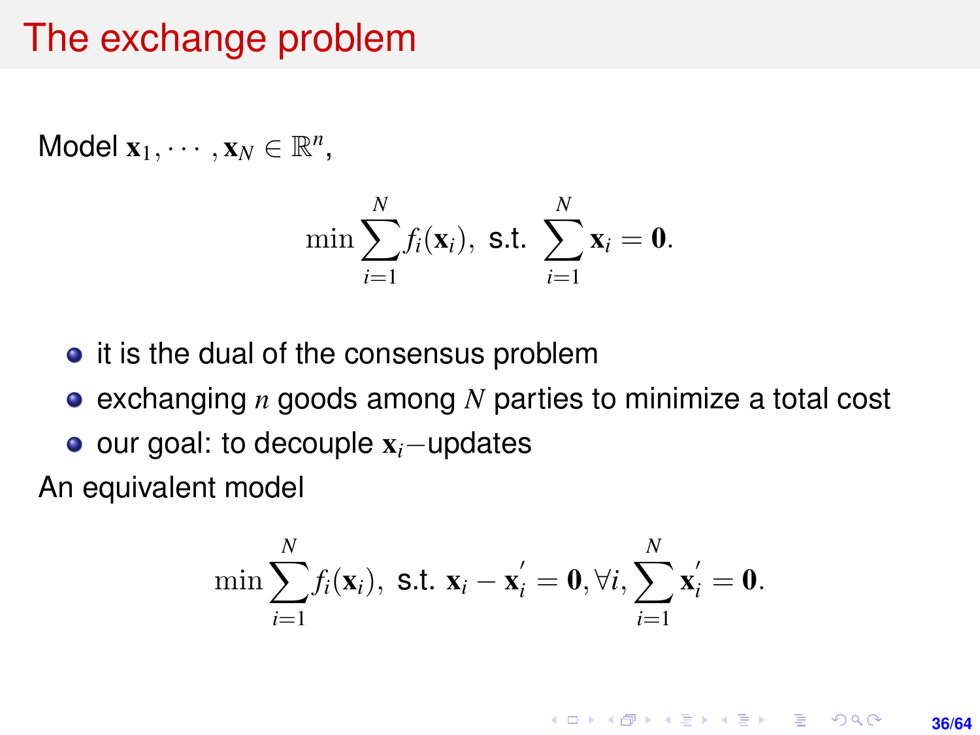### The exchange problem

Model  $\mathbf{x}_1, \cdots, \mathbf{x}_N \in \mathbb{R}^n$ ,

$$
\min \sum_{i=1}^N f_i(\mathbf{x}_i), \text{ s.t. } \sum_{i=1}^N \mathbf{x}_i = \mathbf{0}.
$$

- it is the dual of the consensus problem
- exchanging *n* goods among *N* parties to minimize a total cost
- our goal: to decouple x*i*−updates

An equivalent model

$$
\min \sum_{i=1}^N f_i(\mathbf{x}_i), \text{ s.t. } \mathbf{x}_i - \mathbf{x}_i' = \mathbf{0}, \forall i, \sum_{i=1}^N \mathbf{x}_i' = \mathbf{0}.
$$

**KORKARK A BIK BIKA A GA A GA A GA A BIKA A BIKA A BIKA A BIKA A BIKA A BIKA A BIKA A BIKA A BIKA A BIKA A BIKA 36/64**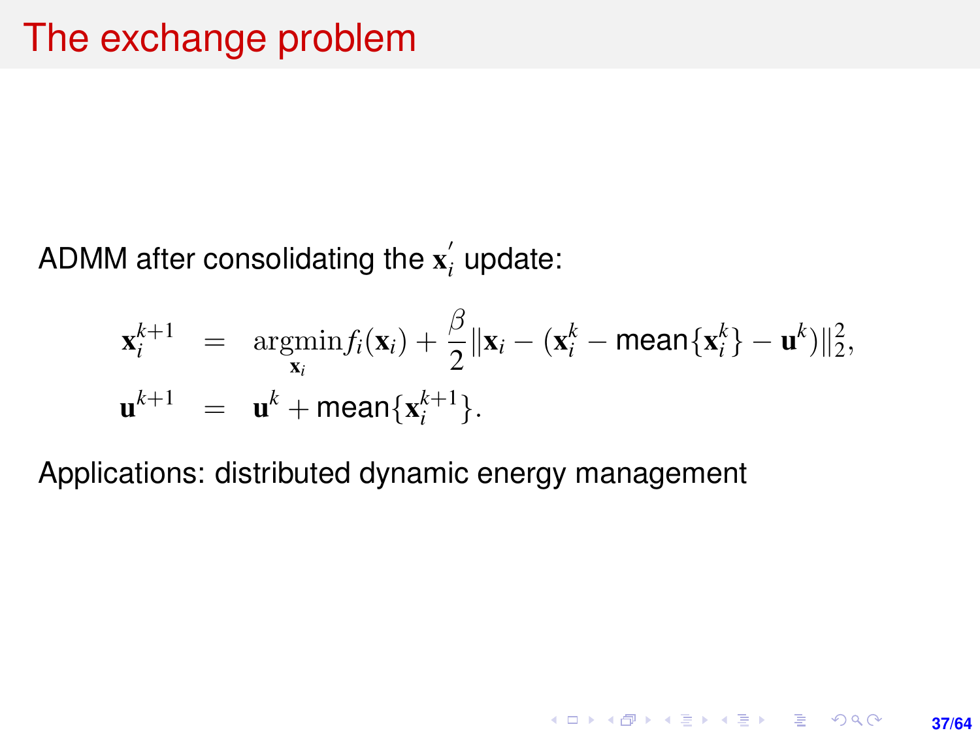ADMM after consolidating the  $\mathbf{x}'_i$  update:

$$
\mathbf{x}_i^{k+1} = \operatorname*{argmin}_{\mathbf{x}_i} f_i(\mathbf{x}_i) + \frac{\beta}{2} \|\mathbf{x}_i - (\mathbf{x}_i^k - \text{mean}\{\mathbf{x}_i^k\} - \mathbf{u}^k)\|_2^2,
$$
  

$$
\mathbf{u}^{k+1} = \mathbf{u}^k + \text{mean}\{\mathbf{x}_i^{k+1}\}.
$$

**37/64**

K ロ ▶ K @ ▶ K 할 ▶ K 할 ▶ 이 할 → 9 Q @

Applications: distributed dynamic energy management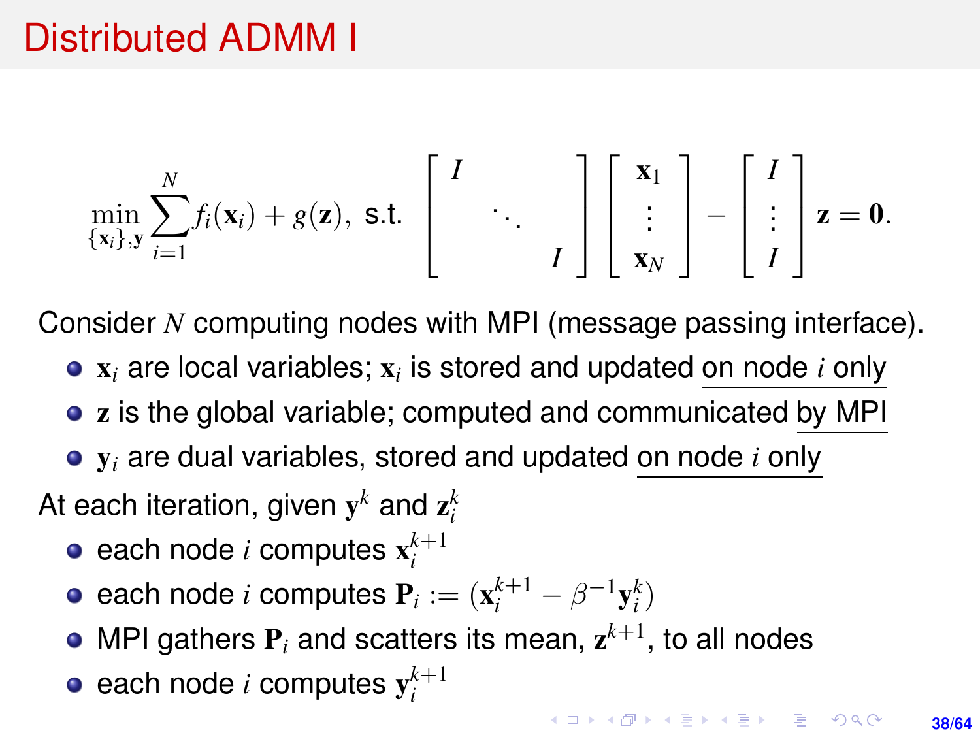<span id="page-37-0"></span>
$$
\min_{\{\mathbf{x}_i\},\mathbf{y}} \sum_{i=1}^N f_i(\mathbf{x}_i) + g(\mathbf{z}), \text{ s.t. } \begin{bmatrix} I \\ & \ddots \\ & & I \end{bmatrix} \begin{bmatrix} \mathbf{x}_1 \\ \vdots \\ \mathbf{x}_N \end{bmatrix} - \begin{bmatrix} I \\ \vdots \\ I \end{bmatrix} \mathbf{z} = \mathbf{0}.
$$

Consider *N* computing nodes with MPI (message passing interface).

- x*<sup>i</sup>* are local variables; x*<sup>i</sup>* is stored and updated on node *i* only
- z is the global variable; computed and communicated by MPI
- y*<sup>i</sup>* are dual variables, stored and updated on node *i* only

At each iteration, given  $\mathbf{y}^k$  and  $\mathbf{z}^k_i$ 

- each node  $i$  computes  $\mathbf{x}_i^{k+1}$
- each node *i* computes  $P_i := (x_i^{k+1} \beta^{-1}y_i^k)$
- MPI gathers  $P_i$  and scatters its mean,  $z^{k+1}$ , to all nodes
- each node  $i$  computes  $\mathbf{y}_i^{k+1}$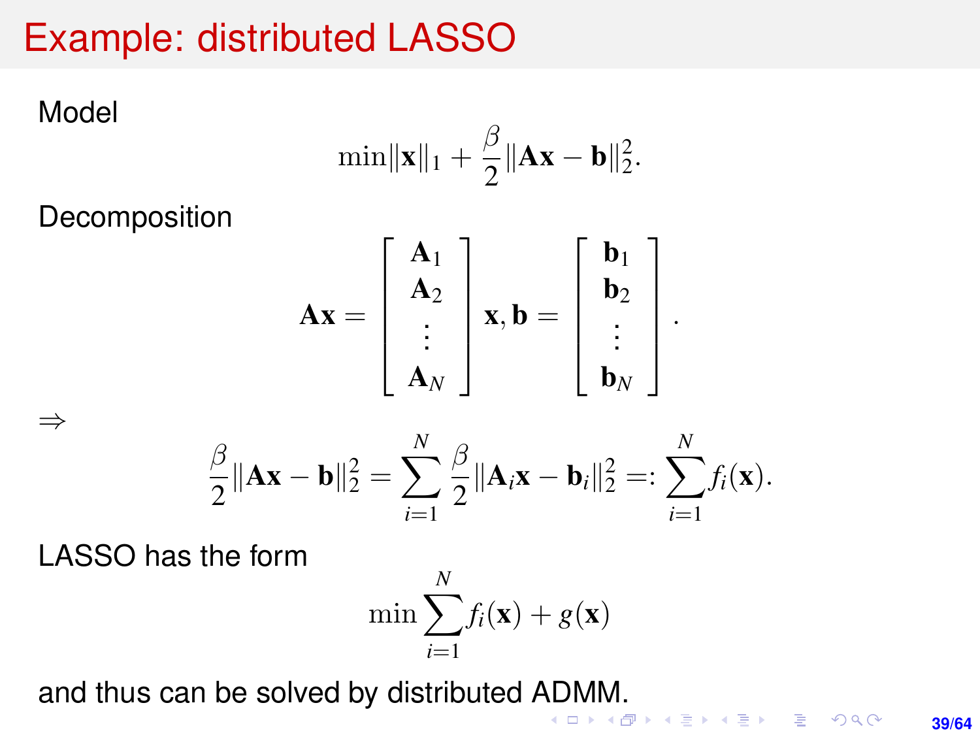# <span id="page-38-0"></span>Example: distributed LASSO

Model

⇒

$$
\min\lVert \bm{x}\rVert_1+\frac{\beta}{2}\lVert \bm{A}\bm{x}-\bm{b}\rVert_2^2.
$$

**Decomposition** 

$$
\mathbf{A}\mathbf{x} = \begin{bmatrix} \mathbf{A}_1 \\ \mathbf{A}_2 \\ \vdots \\ \mathbf{A}_N \end{bmatrix} \mathbf{x}, \mathbf{b} = \begin{bmatrix} \mathbf{b}_1 \\ \mathbf{b}_2 \\ \vdots \\ \mathbf{b}_N \end{bmatrix}.
$$

$$
\frac{\beta}{2} \|\mathbf{A}\mathbf{x} - \mathbf{b}\|_2^2 = \sum_{i=1}^N \frac{\beta}{2} \|\mathbf{A}_i \mathbf{x} - \mathbf{b}_i\|_2^2 =: \sum_{i=1}^N f_i(\mathbf{x}).
$$

LASSO has the form

$$
\min \sum_{i=1}^{N} f_i(\mathbf{x}) + g(\mathbf{x})
$$

and thus can be solved by distributed [AD](#page-37-0)[M](#page-37-0)M[.](#page-38-0)

**39/64**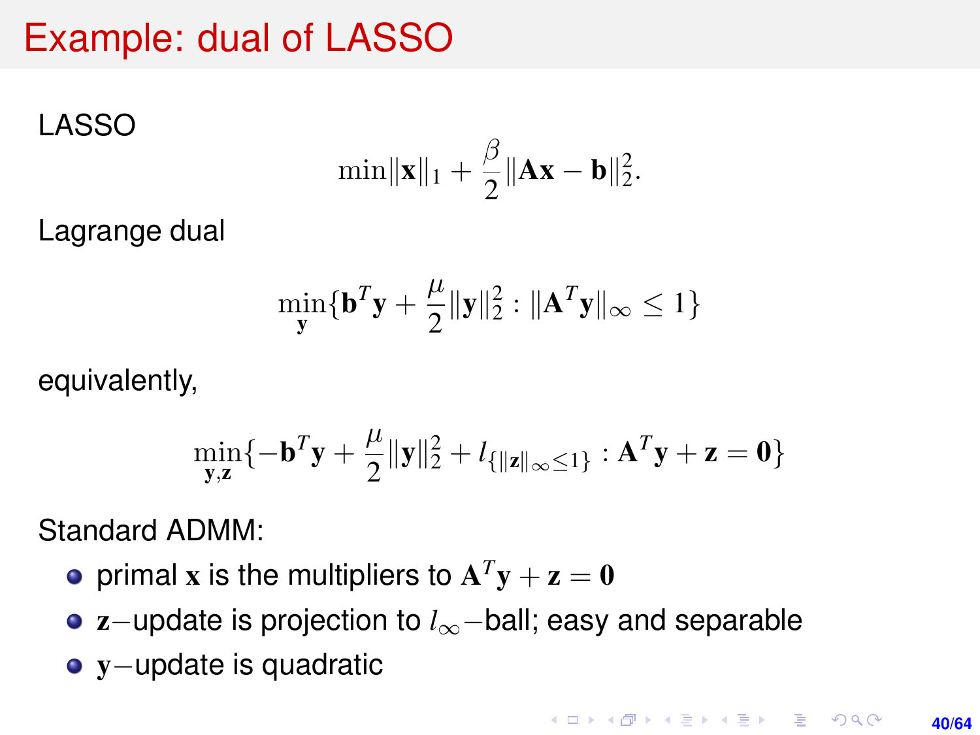### <span id="page-39-0"></span>Example: dual of LASSO

LASSO

$$
\min\|\boldsymbol{x}\|_1+\frac{\beta}{2}\|\boldsymbol{A}\boldsymbol{x}-\boldsymbol{b}\|_2^2.
$$

Lagrange dual

$$
\min_{\mathbf{y}} \{\mathbf{b}^T \mathbf{y} + \frac{\mu}{2} \|\mathbf{y}\|_2^2 : \|\mathbf{A}^T \mathbf{y}\|_{\infty} \le 1\}
$$

equivalently,

$$
\min_{\mathbf{y},\mathbf{z}}\{-\mathbf{b}^T\mathbf{y} + \frac{\mu}{2}\|\mathbf{y}\|_2^2 + l_{\{\|\mathbf{z}\|_\infty \le 1\}} : \mathbf{A}^T\mathbf{y} + \mathbf{z} = \mathbf{0}\}
$$

Standard ADMM:

- primal **x** is the multipliers to  $\mathbf{A}^T \mathbf{y} + \mathbf{z} = \mathbf{0}$
- z−update is projection to *l*∞−ball; easy and separable
- y−update is quadratic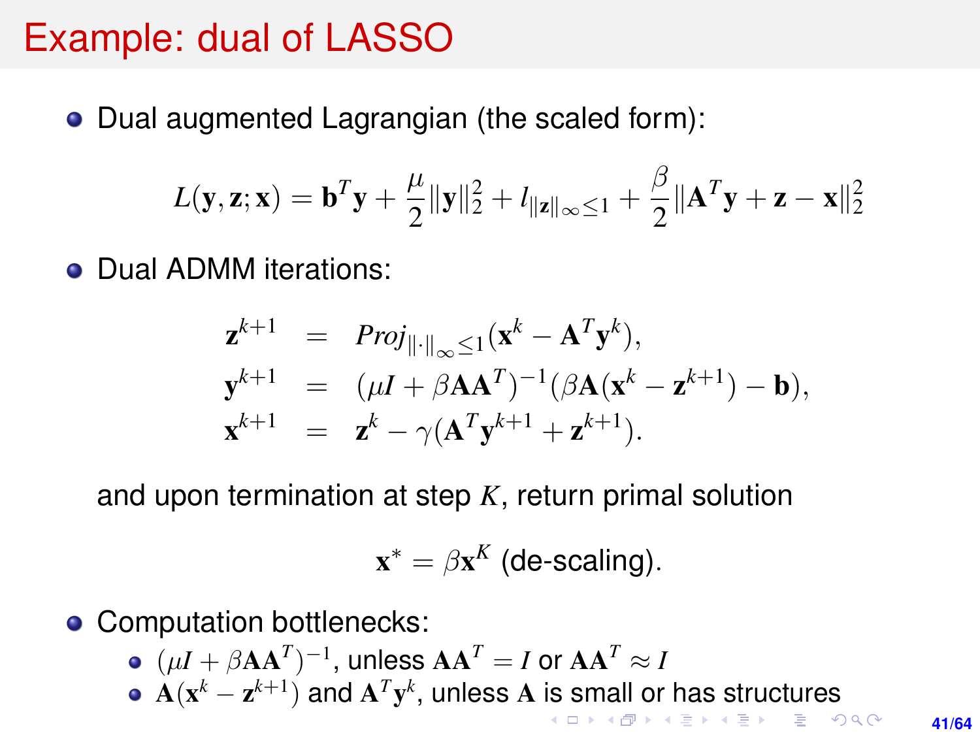### <span id="page-40-0"></span>Example: dual of LASSO

• Dual augmented Lagrangian (the scaled form):

$$
L(\mathbf{y}, \mathbf{z}; \mathbf{x}) = \mathbf{b}^T \mathbf{y} + \frac{\mu}{2} {\lVert \mathbf{y} \rVert_2^2} + l_{\lVert \mathbf{z} \rVert_{\infty} \leq 1} + \frac{\beta}{2} {\lVert \mathbf{A}^T \mathbf{y} + \mathbf{z} - \mathbf{x} \rVert_2^2}
$$

• Dual ADMM iterations:

$$
\mathbf{z}^{k+1} = Proj_{\|\cdot\|_{\infty} \leq 1}(\mathbf{x}^{k} - \mathbf{A}^{T}\mathbf{y}^{k}),
$$
  
\n
$$
\mathbf{y}^{k+1} = (\mu I + \beta \mathbf{A} \mathbf{A}^{T})^{-1}(\beta \mathbf{A}(\mathbf{x}^{k} - \mathbf{z}^{k+1}) - \mathbf{b}),
$$
  
\n
$$
\mathbf{x}^{k+1} = \mathbf{z}^{k} - \gamma(\mathbf{A}^{T}\mathbf{y}^{k+1} + \mathbf{z}^{k+1}).
$$

and upon termination at step *K*, return primal solution

$$
\mathbf{x}^* = \beta \mathbf{x}^K \text{ (de-scaling)}.
$$

- Computation bottlenecks:
	- $(\mu I + \beta \mathbf{A} \mathbf{A}^T)^{-1}$ , unless  $\mathbf{A} \mathbf{A}^T = I$  or  $\mathbf{A} \mathbf{A}^T \approx I$
	- $\mathbf{A}(\mathbf{x}^k \mathbf{z}^{k+1})$  $\mathbf{A}(\mathbf{x}^k \mathbf{z}^{k+1})$  $\mathbf{A}(\mathbf{x}^k \mathbf{z}^{k+1})$  and  $\mathbf{A}^T\mathbf{y}^k$ , unless  $\mathbf{A}$  [is](#page-39-0) [sm](#page-41-0)a[ll](#page-40-0) [o](#page-41-0)[r h](#page-0-0)[as](#page-63-0) [st](#page-0-0)[ru](#page-63-0)[ct](#page-0-0)[ures](#page-63-0) **≮ロ ▶ (伊 ▶ (ミ ▶ (王 )**  $\equiv$   $\Omega Q$

**41/64**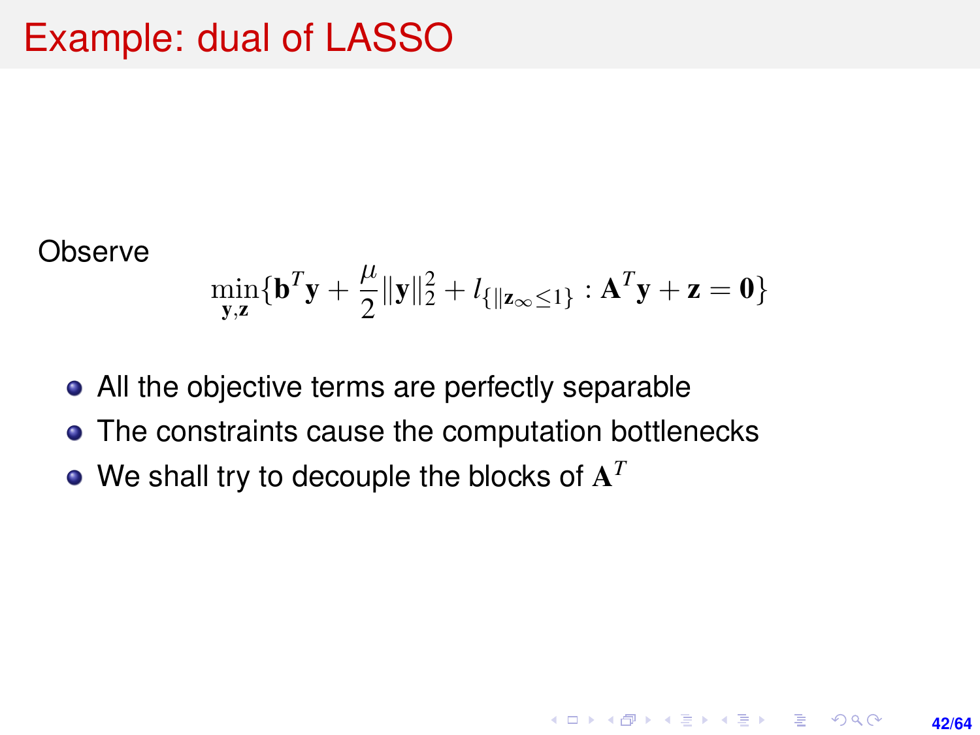<span id="page-41-0"></span>**Observe** 

$$
\min_{\mathbf{y},\mathbf{z}} \{\mathbf{b}^T \mathbf{y} + \frac{\mu}{2} \|\mathbf{y}\|_2^2 + l_{\{\|\mathbf{z}_{\infty} \leq 1\}} : \mathbf{A}^T \mathbf{y} + \mathbf{z} = \mathbf{0}\}
$$

**42/64**

**KORKARK A BIK BIKA A GA A GA A GA A BIKA A BIKA A BIKA A BIKA A BIKA A BIKA A BIKA A BIKA A BIKA A BIKA A BIKA** 

- All the objective terms are perfectly separable
- The constraints cause the computation bottlenecks
- We shall try to decouple the blocks of A *T*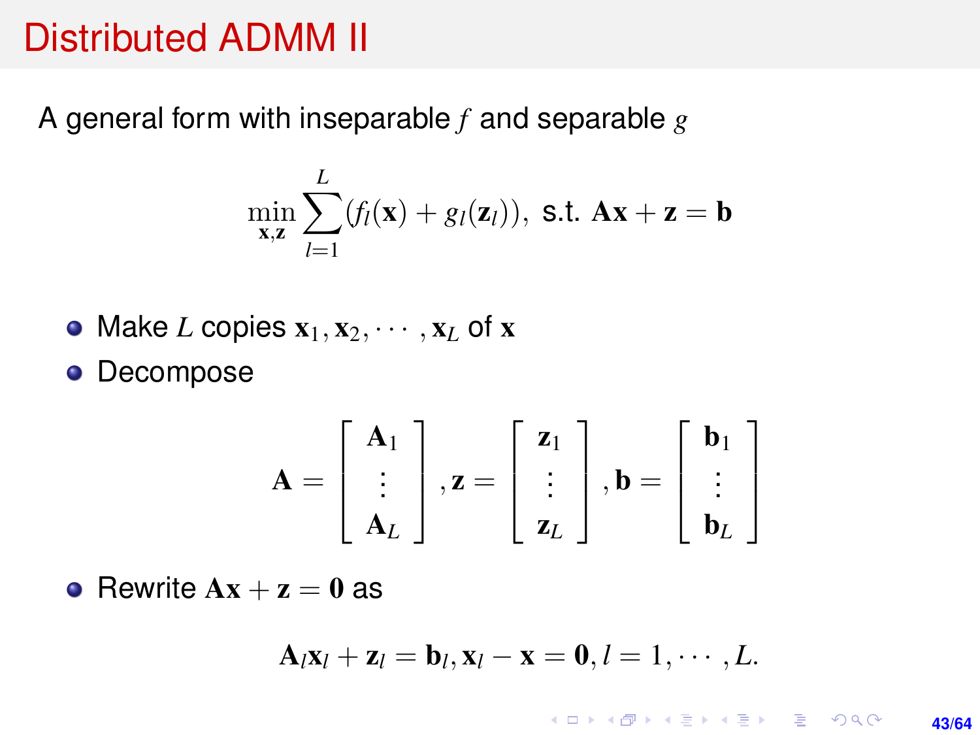A general form with inseparable *f* and separable *g*

$$
\min_{\mathbf{x},\mathbf{z}} \sum_{l=1}^{L} (f_l(\mathbf{x}) + g_l(\mathbf{z}_l)), \text{ s.t. } \mathbf{A}\mathbf{x} + \mathbf{z} = \mathbf{b}
$$

• Make *L* copies 
$$
x_1, x_2, \dots, x_L
$$
 of  $x$ 

**•** Decompose

$$
\mathbf{A} = \begin{bmatrix} \mathbf{A}_1 \\ \vdots \\ \mathbf{A}_L \end{bmatrix}, \mathbf{z} = \begin{bmatrix} \mathbf{z}_1 \\ \vdots \\ \mathbf{z}_L \end{bmatrix}, \mathbf{b} = \begin{bmatrix} \mathbf{b}_1 \\ \vdots \\ \mathbf{b}_L \end{bmatrix}
$$

• Rewrite  $Ax + z = 0$  as

$$
\mathbf{A}_l\mathbf{x}_l+\mathbf{z}_l=\mathbf{b}_l,\mathbf{x}_l-\mathbf{x}=\mathbf{0},l=1,\cdots,L.
$$

K ロ ▶ K @ ▶ K 할 ▶ K 할 ▶ ... 할 → 9 Q @ **43/64**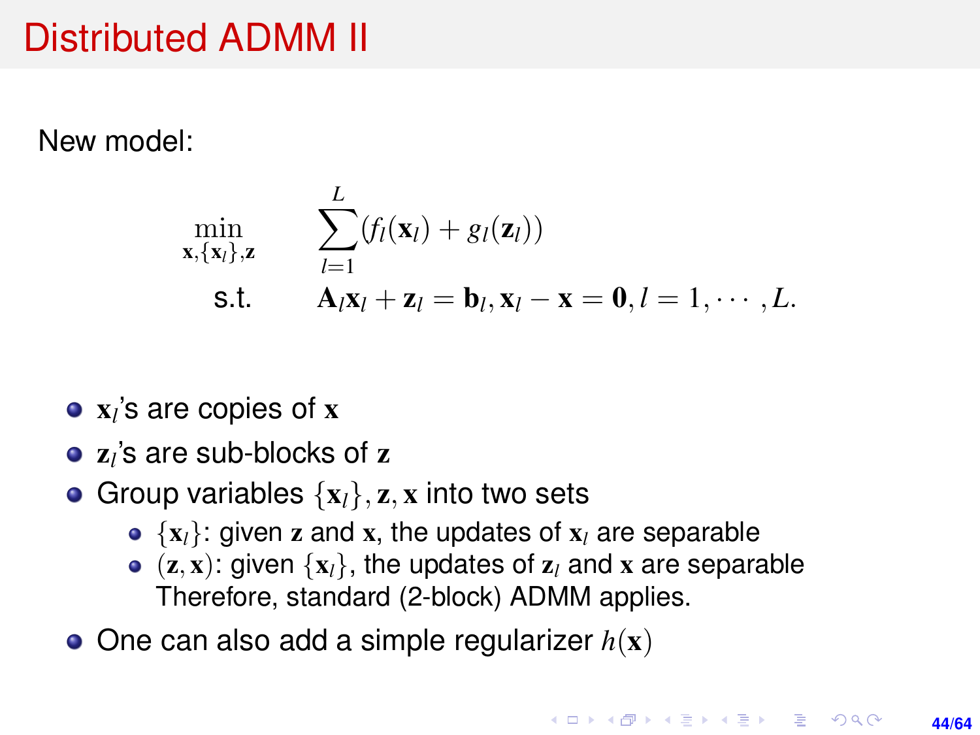New model:

$$
\min_{\mathbf{x}, \{\mathbf{x}_l\}, \mathbf{z}} \qquad \sum_{l=1}^L (f_l(\mathbf{x}_l) + g_l(\mathbf{z}_l))
$$
\n
$$
\text{s.t.} \qquad \mathbf{A}_l \mathbf{x}_l + \mathbf{z}_l = \mathbf{b}_l, \mathbf{x}_l - \mathbf{x} = \mathbf{0}, l = 1, \cdots, L.
$$

- x*l* 's are copies of x
- z*l* 's are sub-blocks of z
- Group variables  $\{x_l\}$ , z, x into two sets
	- $\bullet$  { $x_l$ }: given z and x, the updates of  $x_l$  are separable
	- $(z, x)$ : given  $\{x_l\}$ , the updates of  $z_l$  and x are separable Therefore, standard (2-block) ADMM applies.
- $\bullet$  One can also add a simple regularizer  $h(\mathbf{x})$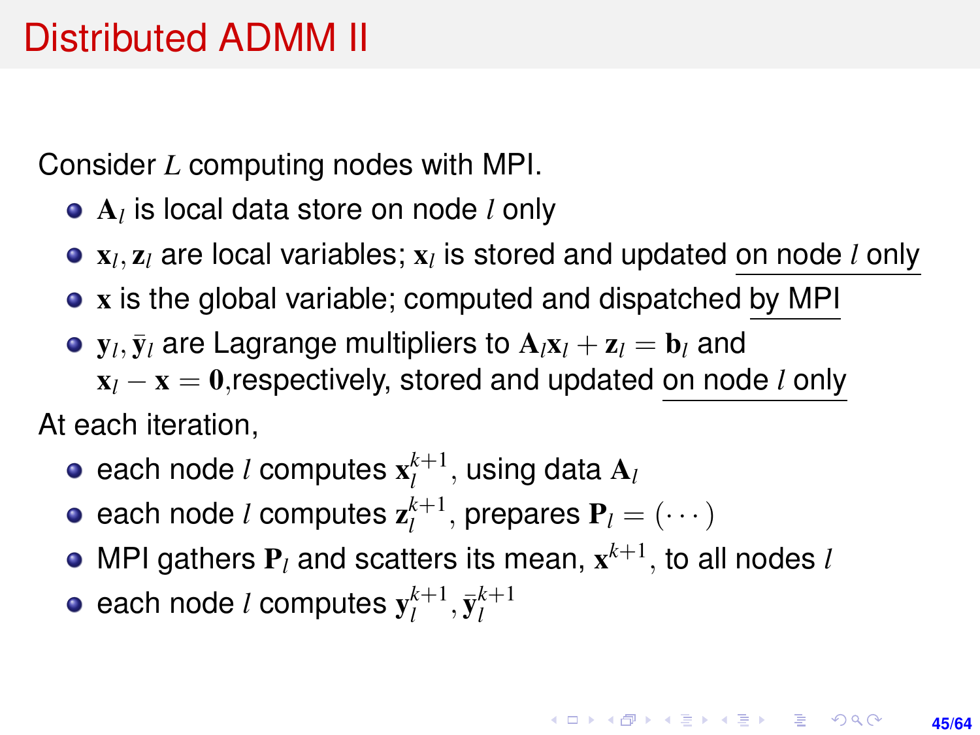Consider *L* computing nodes with MPI.

- A*l* is local data store on node *l* only
- x*l* , z*<sup>l</sup>* are local variables; x*<sup>l</sup>* is stored and updated on node *l* only
- x is the global variable; computed and dispatched by MPI
- $\mathbf{y}_l, \bar{\mathbf{y}}_l$  are Lagrange multipliers to  $\mathbf{A}_l \mathbf{x}_l + \mathbf{z}_l = \mathbf{b}_l$  and x*<sup>l</sup>* − x = 0,respectively, stored and updated on node *l* only At each iteration,
	- each node *l* computes  $\mathbf{x}_{l}^{k+1}$ , using data  $\mathbf{A}_{l}$
	- each node *l* computes  $\mathbf{z}_{l}^{k+1}$ , prepares  $\mathbf{P}_{l} = (\cdots)$
	- MPI gathers  $P_l$  and scatters its mean,  $\mathbf{x}^{k+1}$ , to all nodes *l*
	- each node *l* computes  $\mathbf{y}_l^{k+1}, \bar{\mathbf{y}}_l^{k+1}$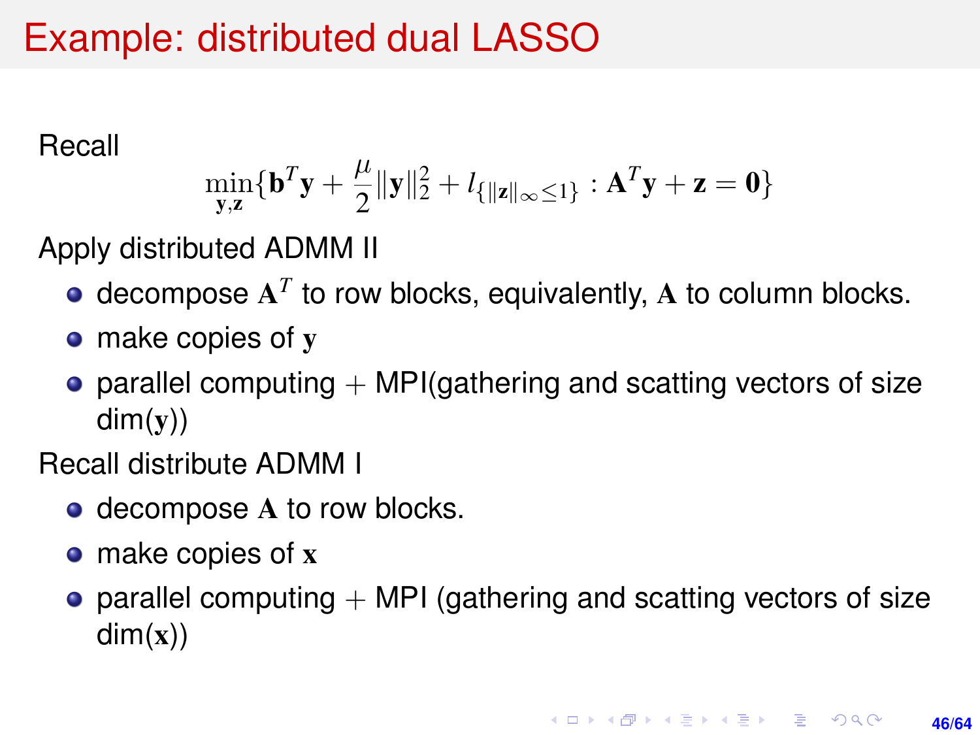### Example: distributed dual LASSO

Recall

$$
\min_{\mathbf{y},\mathbf{z}} \{\mathbf{b}^T \mathbf{y} + \frac{\mu}{2} \|\mathbf{y}\|_2^2 + l_{\{\|\mathbf{z}\|_\infty \le 1\}} : \mathbf{A}^T \mathbf{y} + \mathbf{z} = \mathbf{0}\}
$$

Apply distributed ADMM II

- decompose  $A<sup>T</sup>$  to row blocks, equivalently,  $A$  to column blocks.
- make copies of y
- parallel computing  $+$  MPI(gathering and scatting vectors of size  $dim(y)$

Recall distribute ADMM I

- decompose A to row blocks.
- make copies of x
- parallel computing  $+$  MPI (gathering and scatting vectors of size  $dim(x)$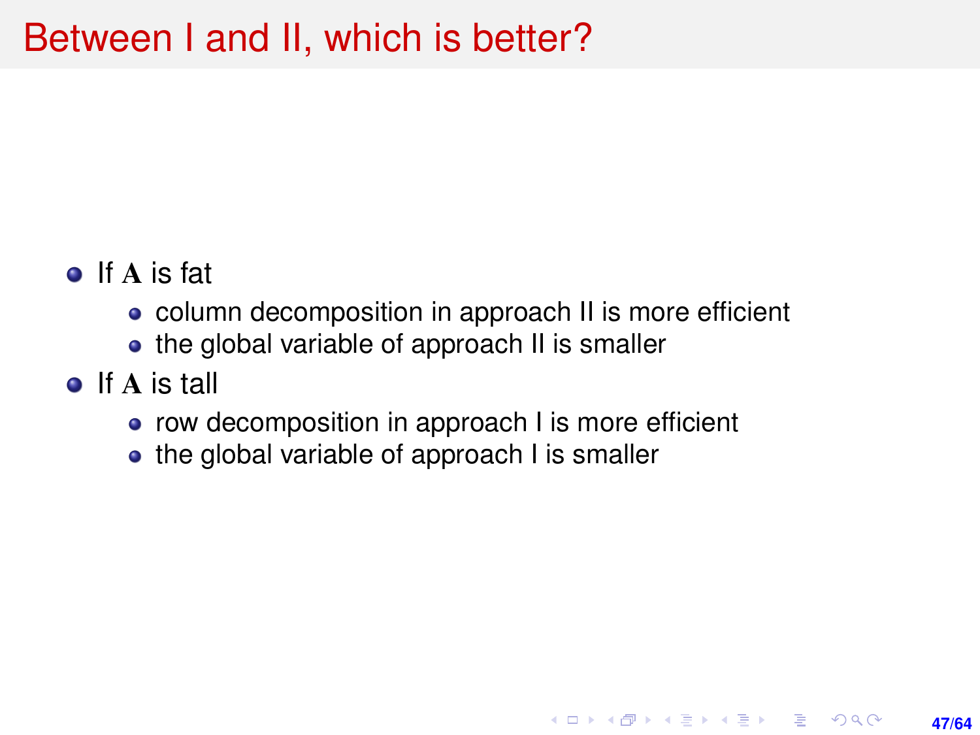### Between I and II, which is better?

- o If A is fat
	- column decomposition in approach II is more efficient

**47/64**

**KORKARK A BIK BIKA A GA A GA A GA A BIKA A BIKA A BIKA A BIKA A BIKA A BIKA A BIKA A BIKA A BIKA A BIKA A BIKA** 

- the global variable of approach II is smaller
- o If A is tall
	- row decomposition in approach I is more efficient
	- the global variable of approach I is smaller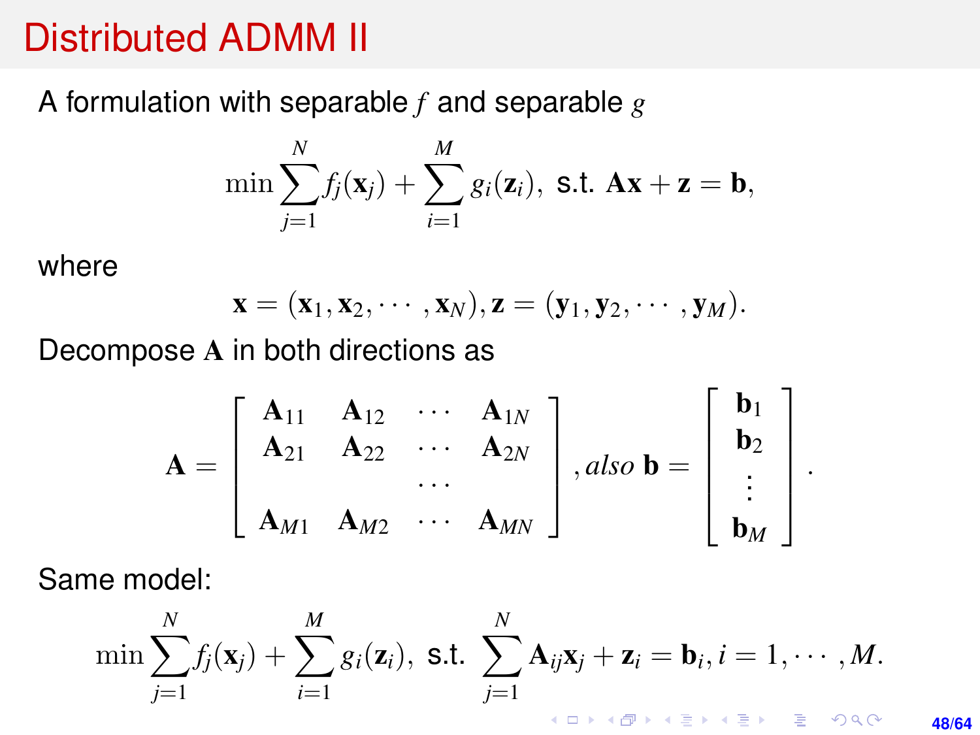<span id="page-47-0"></span>A formulation with separable *f* and separable *g*

$$
\min \sum_{j=1}^N f_j(\mathbf{x}_j) + \sum_{i=1}^M g_i(\mathbf{z}_i), \text{ s.t. } \mathbf{A}\mathbf{x} + \mathbf{z} = \mathbf{b},
$$

where

$$
\mathbf{x}=(\mathbf{x}_1,\mathbf{x}_2,\cdots,\mathbf{x}_N),\mathbf{z}=(\mathbf{y}_1,\mathbf{y}_2,\cdots,\mathbf{y}_M).
$$

Decompose A in both directions as

$$
\mathbf{A} = \begin{bmatrix} \mathbf{A}_{11} & \mathbf{A}_{12} & \cdots & \mathbf{A}_{1N} \\ \mathbf{A}_{21} & \mathbf{A}_{22} & \cdots & \mathbf{A}_{2N} \\ \vdots & \vdots & \ddots & \vdots \\ \mathbf{A}_{M1} & \mathbf{A}_{M2} & \cdots & \mathbf{A}_{MN} \end{bmatrix}, also \mathbf{b} = \begin{bmatrix} \mathbf{b}_1 \\ \mathbf{b}_2 \\ \vdots \\ \mathbf{b}_M \end{bmatrix}
$$

.

Same model:

$$
\min \sum_{j=1}^N f_j(\mathbf{x}_j) + \sum_{i=1}^M g_i(\mathbf{z}_i), \text{ s.t. } \sum_{j=1}^N \mathbf{A}_{ij} \mathbf{x}_j + \mathbf{z}_i = \mathbf{b}_i, i = 1, \cdots, M.
$$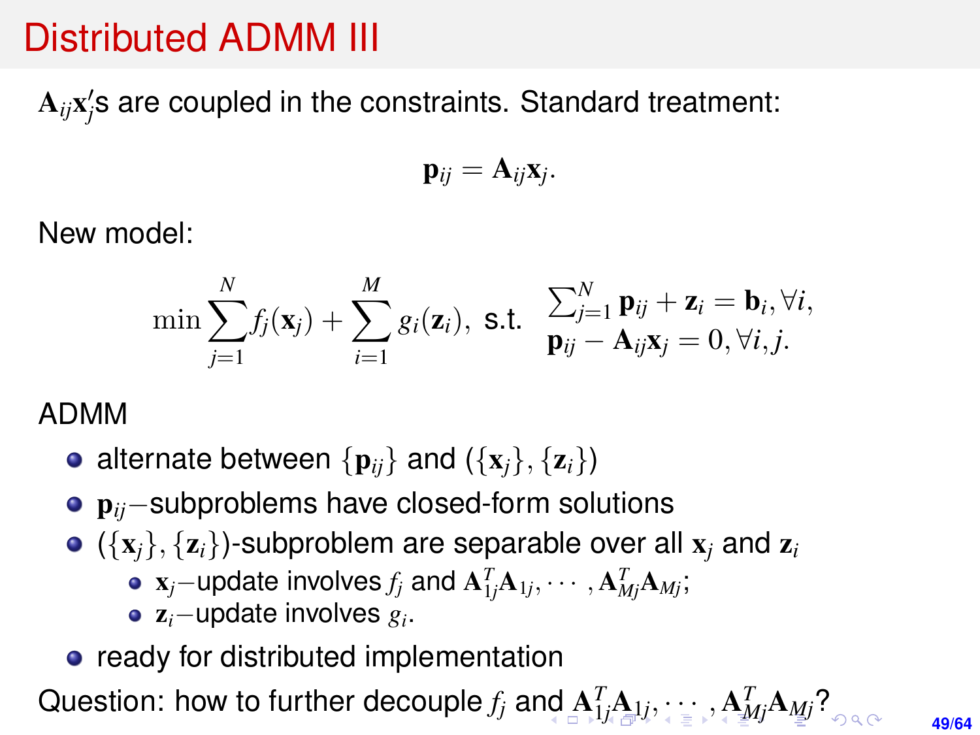<span id="page-48-0"></span> $\mathbf{A}_{ij}\mathbf{x}_j'$ s are coupled in the constraints. Standard treatment:

$$
\mathbf{p}_{ij}=\mathbf{A}_{ij}\mathbf{x}_j.
$$

New model:

$$
\min \sum_{j=1}^N f_j(\mathbf{x}_j) + \sum_{i=1}^M g_i(\mathbf{z}_i), \text{ s.t. } \sum_{\mathbf{p}_{ij}}^N \mathbf{p}_{ij} + \mathbf{z}_i = \mathbf{b}_i, \forall i, j.
$$

#### ADMM

- alternate between  $\{p_{ij}\}\$  and  $(\{x_i\}, \{z_i\})$
- p*ij*−subproblems have closed-form solutions
- $\bullet$  ( $\{x_i\}$ ,  $\{z_i\}$ )-subproblem are separable over all  $x_i$  and  $z_i$ 
	- x*j*−update involves *f<sup>j</sup>* and A *T* <sup>1</sup>*<sup>j</sup>*A1*<sup>j</sup>* , · · · , A *T Mj*A*Mj*;
	- z*i*−update involves *g<sup>i</sup>* .
- ready for distributed implementation

Question:how to further decouple  $f_j$  $f_j$  a[nd](#page-47-0)  $\mathbf{A}_{\cdot 1 j}^T \mathbf{A}_{\cdot 1 j}, \cdots, \mathbf{A}_{M j}^T \mathbf{A}_{M j}$  $\mathbf{A}_{\cdot 1 j}^T \mathbf{A}_{\cdot 1 j}, \cdots, \mathbf{A}_{M j}^T \mathbf{A}_{M j}$  $\mathbf{A}_{\cdot 1 j}^T \mathbf{A}_{\cdot 1 j}, \cdots, \mathbf{A}_{M j}^T \mathbf{A}_{M j}$  $\mathbf{A}_{\cdot 1 j}^T \mathbf{A}_{\cdot 1 j}, \cdots, \mathbf{A}_{M j}^T \mathbf{A}_{M j}$  $\mathbf{A}_{\cdot 1 j}^T \mathbf{A}_{\cdot 1 j}, \cdots, \mathbf{A}_{M j}^T \mathbf{A}_{M j}$  $\mathbf{A}_{\cdot 1 j}^T \mathbf{A}_{\cdot 1 j}, \cdots, \mathbf{A}_{M j}^T \mathbf{A}_{M j}$  $\mathbf{A}_{\cdot 1 j}^T \mathbf{A}_{\cdot 1 j}, \cdots, \mathbf{A}_{M j}^T \mathbf{A}_{M j}$ ?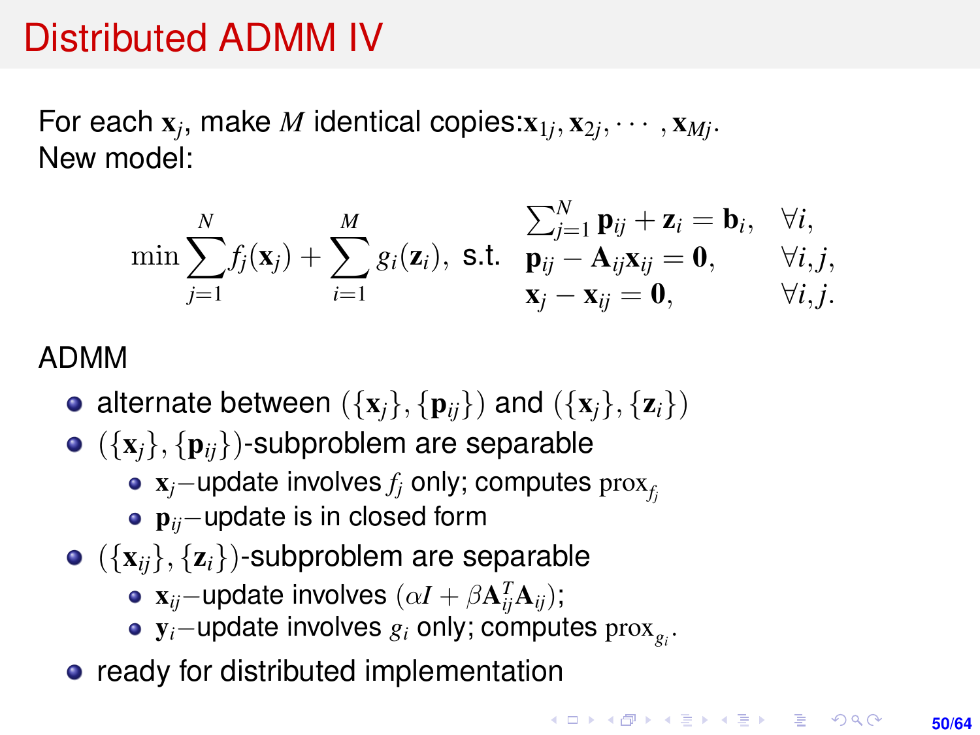<span id="page-49-0"></span>For each  $\mathbf{x}_j$ , make  $M$  identical copies: $\mathbf{x}_{1j}, \mathbf{x}_{2j}, \cdots, \mathbf{x}_{Mj}.$ New model:

$$
\min \sum_{j=1}^N f_j(\mathbf{x}_j) + \sum_{i=1}^M g_i(\mathbf{z}_i), \text{ s.t. } \sum_{\mathbf{p}_{ij}}^N - \mathbf{A}_{ij}\mathbf{x}_{ij} = \mathbf{0}, \quad \forall i, j, \mathbf{x}_j - \mathbf{x}_{ij} = \mathbf{0}, \quad \forall i, j, \mathbf{x}_j - \mathbf{x}_{ij} = \mathbf{0}, \quad \forall i, j.
$$

#### ADMM

- alternate between  $({x_i}, {p_{ii}})$  and  $({x_i}, {z_i})$
- $\bullet$  ({ ${\bf x}_i$ }, { ${\bf p}_{ii}$ })-subproblem are separable
	- x*j*−update involves *f<sup>j</sup>* only; computes prox*<sup>f</sup><sup>j</sup>*
	- p*ij*−update is in closed form
- $\bullet$  ( $\{x_{ii}\}, \{z_i\}$ )-subproblem are separable
	- $\mathbf{x}_{ij}$ −update involves  $(\alpha I + \beta \mathbf{A}_{ij}^T \mathbf{A}_{ij});$
	- y*i*−update involves *g<sup>i</sup>* only; computes prox*<sup>g</sup><sup>i</sup>* .
- ready for distributed implementation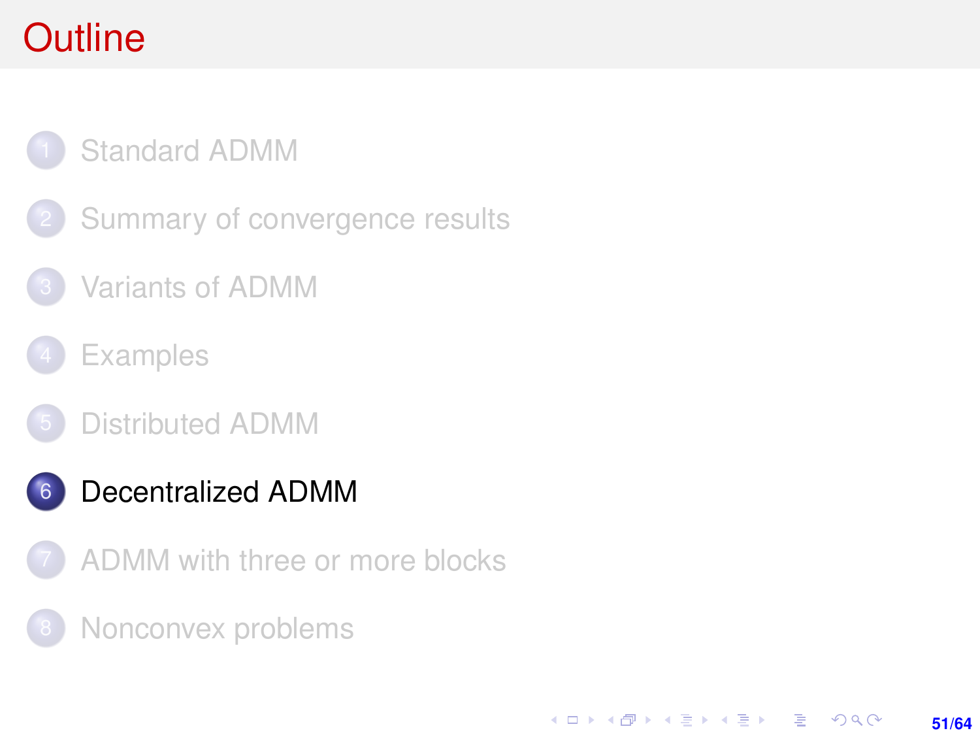# <span id="page-50-0"></span>**Outline**

### [Standard ADMM](#page-1-0)

- [Summary of convergence results](#page-7-0)
- [Variants of ADMM](#page-11-0)
- **[Examples](#page-17-0)**
- [Distributed ADMM](#page-30-0)
- 6 [Decentralized ADMM](#page-50-0)
- [ADMM with three or more blocks](#page-53-0)

**51/64**

KORK ERKER ERKER

[Nonconvex problems](#page-59-0)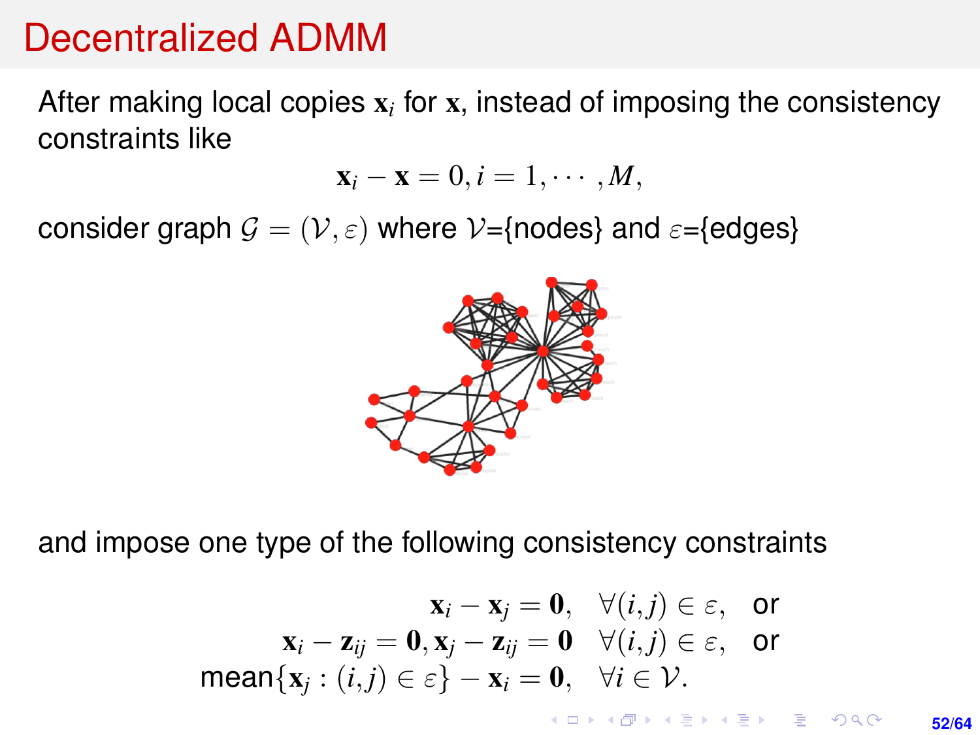### Decentralized ADMM

After making local copies  $\mathbf{x}_i$  for  $\mathbf{x}_i$  instead of imposing the consistency constraints like

$$
\mathbf{x}_i - \mathbf{x} = 0, i = 1, \cdots, M,
$$

consider graph  $\mathcal{G} = (\mathcal{V}, \varepsilon)$  where  $\mathcal{V} = \{$ nodes} and  $\varepsilon = \{$ edges}



and impose one type of the following consistency constraints

$$
\mathbf{x}_i - \mathbf{x}_j = \mathbf{0}, \quad \forall (i,j) \in \varepsilon, \quad \text{or}
$$
\n
$$
\mathbf{x}_i - \mathbf{z}_{ij} = \mathbf{0}, \mathbf{x}_j - \mathbf{z}_{ij} = \mathbf{0} \quad \forall (i,j) \in \varepsilon, \quad \text{or}
$$
\n
$$
\text{mean}\{\mathbf{x}_j : (i,j) \in \varepsilon\} - \mathbf{x}_i = \mathbf{0}, \quad \forall i \in \mathcal{V}.
$$

**KORKARK KERKER DRAM 52/64**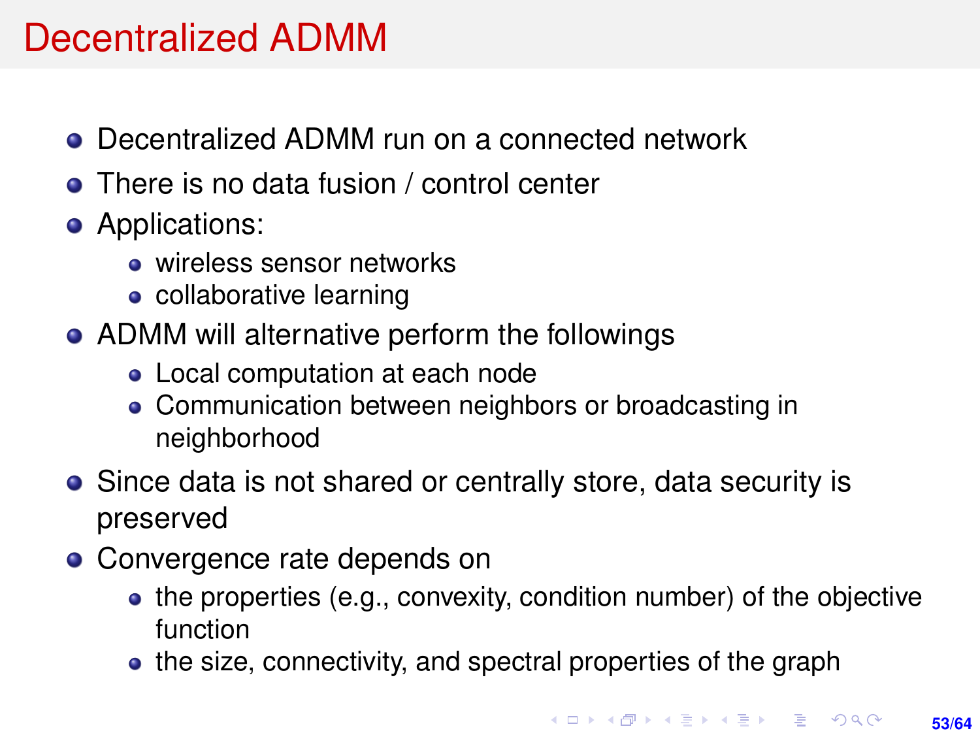# Decentralized ADMM

- Decentralized ADMM run on a connected network
- There is no data fusion / control center
- Applications:
	- **o** wireless sensor networks
	- collaborative learning
- ADMM will alternative perform the followings
	- Local computation at each node
	- Communication between neighbors or broadcasting in neighborhood
- Since data is not shared or centrally store, data security is preserved
- Convergence rate depends on
	- the properties (e.g., convexity, condition number) of the objective function
	- the size, connectivity, and spectral properties of the graph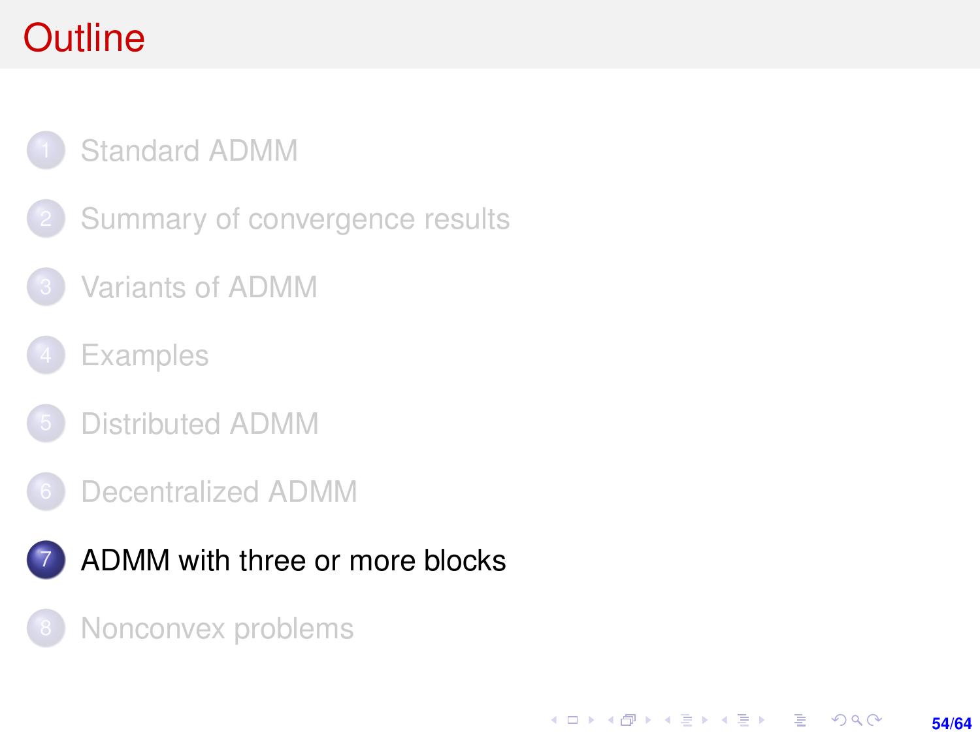# <span id="page-53-0"></span>**Outline**

### [Standard ADMM](#page-1-0)

- [Summary of convergence results](#page-7-0)
- [Variants of ADMM](#page-11-0)
- **[Examples](#page-17-0)**
- [Distributed ADMM](#page-30-0)
- [Decentralized ADMM](#page-50-0)



[Nonconvex problems](#page-59-0)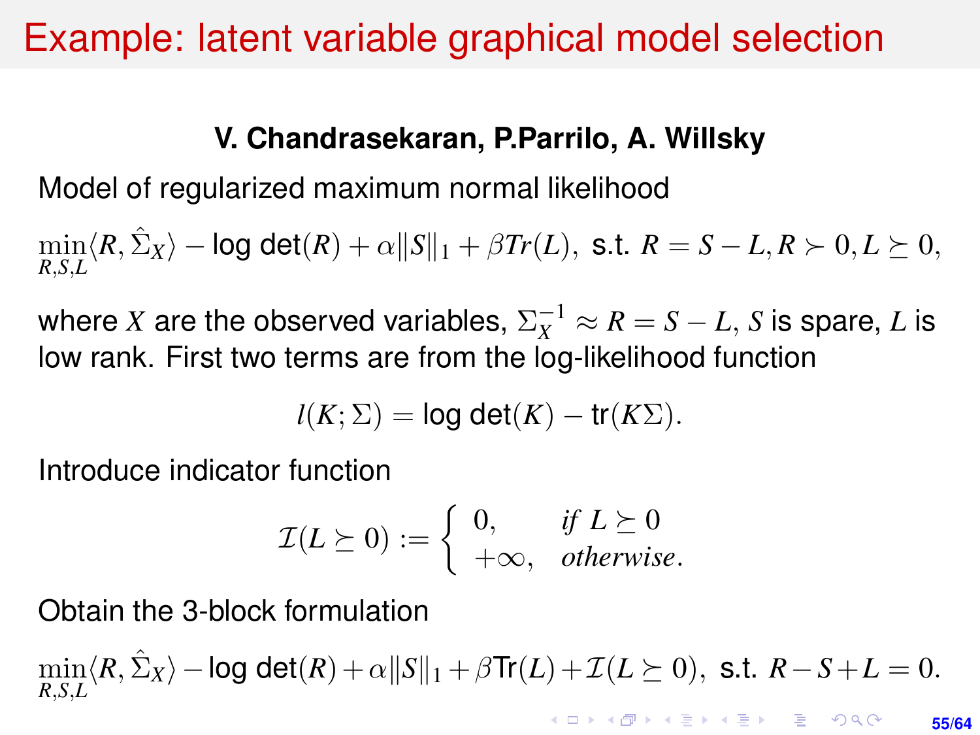### <span id="page-54-0"></span>Example: latent variable graphical model selection

### **V. Chandrasekaran, P.Parrilo, A. Willsky**

Model of regularized maximum normal likelihood

 $\min_{R,S,L} \langle R, \hat{\Sigma}_X \rangle - \log \det(R) + \alpha ||S||_1 + \beta Tr(L), \text{ s.t. } R = S - L, R \succ 0, L \succeq 0,$ 

where  $X$  are the observed variables,  $\Sigma_X^{-1} \approx R = S - L$ ,  $S$  is spare,  $L$  is low rank. First two terms are from the log-likelihood function

$$
l(K;\Sigma) = \log \det(K) - \text{tr}(K\Sigma).
$$

Introduce indicator function

$$
\mathcal{I}(L \succeq 0) := \begin{cases} 0, & \text{if } L \succeq 0 \\ +\infty, & \text{otherwise.} \end{cases}
$$

Obtain the 3-block formulation

 $\min_{R,S,L} \langle R, \hat{\Sigma}_X \rangle - \log \det(R) + \alpha ||S||_1 + \beta \text{Tr}(L) + \mathcal{I}(L \succeq 0), \text{ s.t. } R - S + L = 0.$ **KORKAR KERKER E DAG** 

**55/64**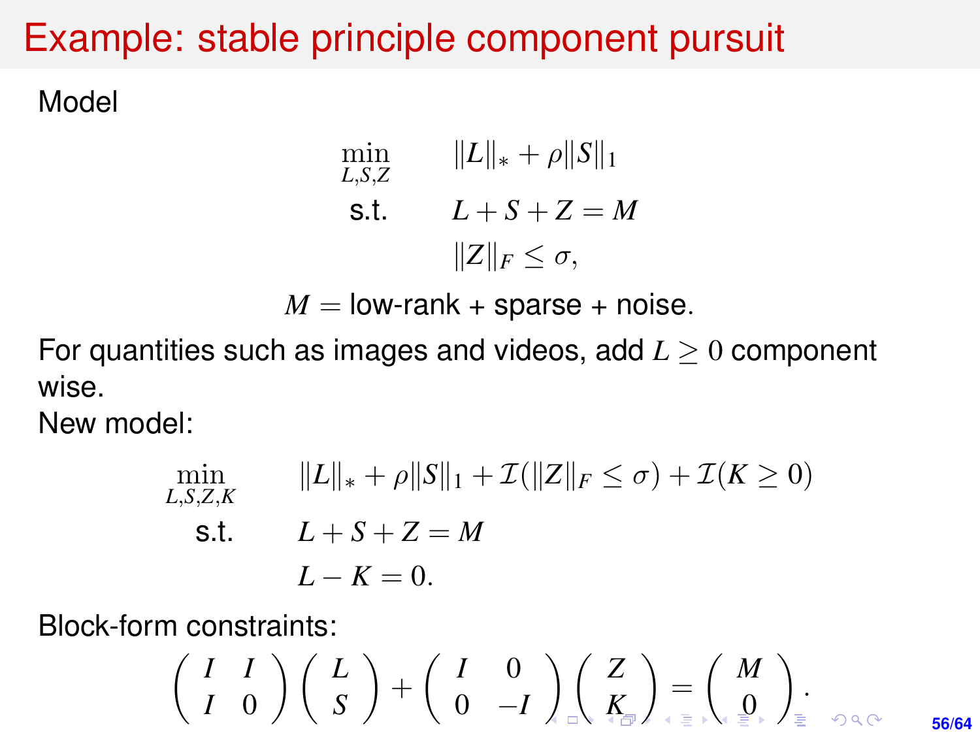# <span id="page-55-0"></span>Example: stable principle component pursuit

Model

$$
\min_{L,S,Z} \qquad \|L\|_{*} + \rho \|S\|_{1}
$$
\n
$$
\text{s.t.} \qquad L + S + Z = M
$$
\n
$$
\|Z\|_{F} \leq \sigma,
$$

 $M =$ low-rank + sparse + noise.

For quantities such as images and videos, add  $L \geq 0$  component wise.

New model:

$$
\min_{L,S,Z,K} \qquad \|L\|_{*} + \rho \|S\|_{1} + \mathcal{I}(\|Z\|_{F} \le \sigma) + \mathcal{I}(K \ge 0)
$$
\ns.t.

\n
$$
L + S + Z = M
$$
\n
$$
L - K = 0.
$$

Block-form constraints:

$$
\left(\begin{array}{cc} I & I \\ I & 0 \end{array}\right)\left(\begin{array}{c} L \\ S \end{array}\right)+\left(\begin{array}{cc} I & 0 \\ 0 & -I \end{array}\right)_{\square}\left(\begin{array}{c} Z \\ K_{\square} \end{array}\right)=\left(\begin{array}{c} M \\ 0 \end{array}\right)_{\square}.
$$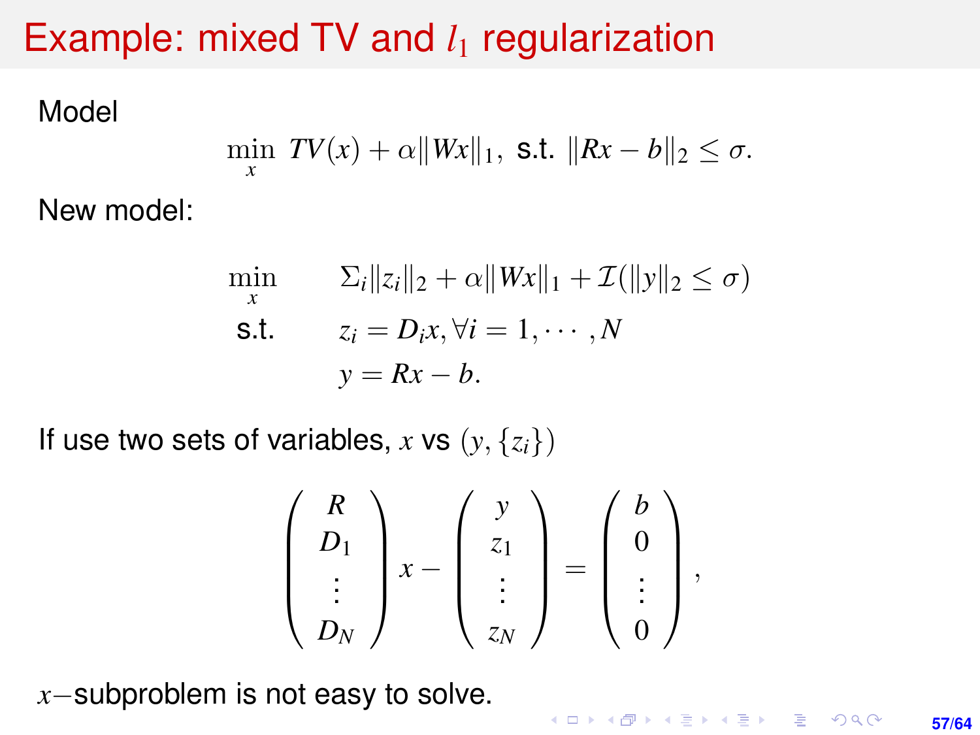# Example: mixed TV and  $l_1$  regularization

Model

$$
\min_x \mathit{TV}(x) + \alpha ||\mathit{Wx}||_1, \text{ s.t. } ||\mathit{Rx} - \mathit{b}||_2 \leq \sigma.
$$

New model:

$$
\min_{x} \qquad \Sigma_{i} \|z_{i}\|_{2} + \alpha \|Wx\|_{1} + \mathcal{I}(\|y\|_{2} \le \sigma)
$$
\n
$$
\text{s.t.} \qquad z_{i} = D_{i}x, \forall i = 1, \cdots, N
$$
\n
$$
y = Rx - b.
$$

If use two sets of variables, *x* vs  $(y, \{z_i\})$ 

$$
\left(\begin{array}{c} R \\ D_1 \\ \vdots \\ D_N \end{array}\right) x - \left(\begin{array}{c} y \\ z_1 \\ \vdots \\ z_N \end{array}\right) = \left(\begin{array}{c} b \\ 0 \\ \vdots \\ 0 \end{array}\right),
$$

*x*−subproblem is not easy to solve.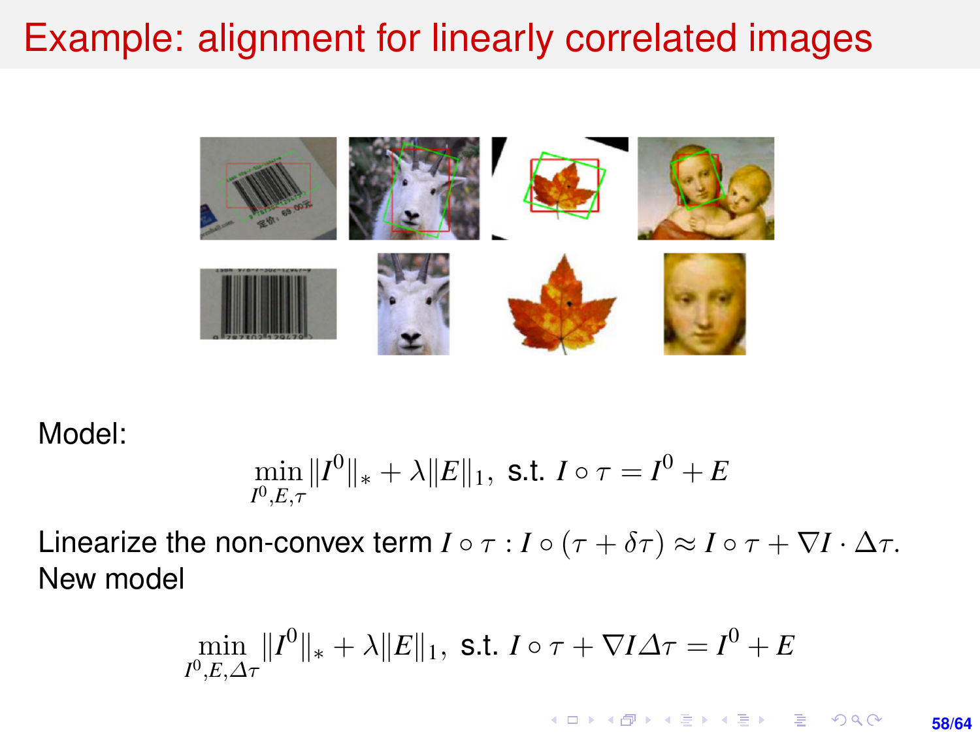# Example: alignment for linearly correlated images



Model:

$$
\min_{I^0, E, \tau} \|I^0\|_{*} + \lambda \|E\|_{1}, \text{ s.t. } I \circ \tau = I^0 + E
$$

Linearize the non-convex term  $I \circ \tau : I \circ (\tau + \delta \tau) \approx I \circ \tau + \nabla I \cdot \Delta \tau$ . New model

$$
\min_{I^0,E,\Delta\tau} \Vert I^0 \Vert_* + \lambda \Vert E \Vert_1, \text{ s.t. } I \circ \tau + \nabla I \Delta\tau = I^0 + E
$$

KO KARK KEK LE KORA **58/64**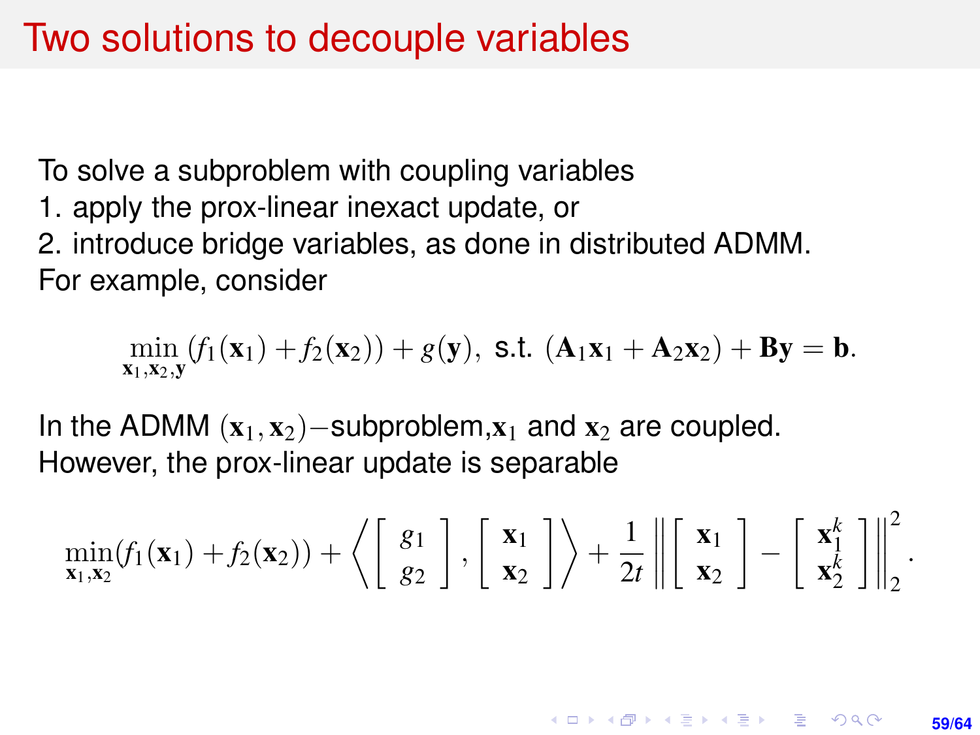### Two solutions to decouple variables

To solve a subproblem with coupling variables

1. apply the prox-linear inexact update, or

2. introduce bridge variables, as done in distributed ADMM. For example, consider

$$
\min_{\mathbf{x}_1,\mathbf{x}_2,\mathbf{y}}(f_1(\mathbf{x}_1)+f_2(\mathbf{x}_2))+g(\mathbf{y}), \text{ s.t. } (\mathbf{A}_1\mathbf{x}_1+\mathbf{A}_2\mathbf{x}_2)+\mathbf{B}\mathbf{y}=\mathbf{b}.
$$

In the ADMM  $(x_1, x_2)$ −subproblem, $x_1$  and  $x_2$  are coupled. However, the prox-linear update is separable

$$
\min_{\mathbf{x}_1,\mathbf{x}_2} (f_1(\mathbf{x}_1)+f_2(\mathbf{x}_2))+\left\langle \left[\begin{array}{c} g_1 \\ g_2 \end{array}\right], \left[\begin{array}{c} \mathbf{x}_1 \\ \mathbf{x}_2 \end{array}\right]\right\rangle+\frac{1}{2t}\left\|\left[\begin{array}{c} \mathbf{x}_1 \\ \mathbf{x}_2 \end{array}\right]-\left[\begin{array}{c} \mathbf{x}_1^k \\ \mathbf{x}_2^k \end{array}\right]\right\|_2^2.
$$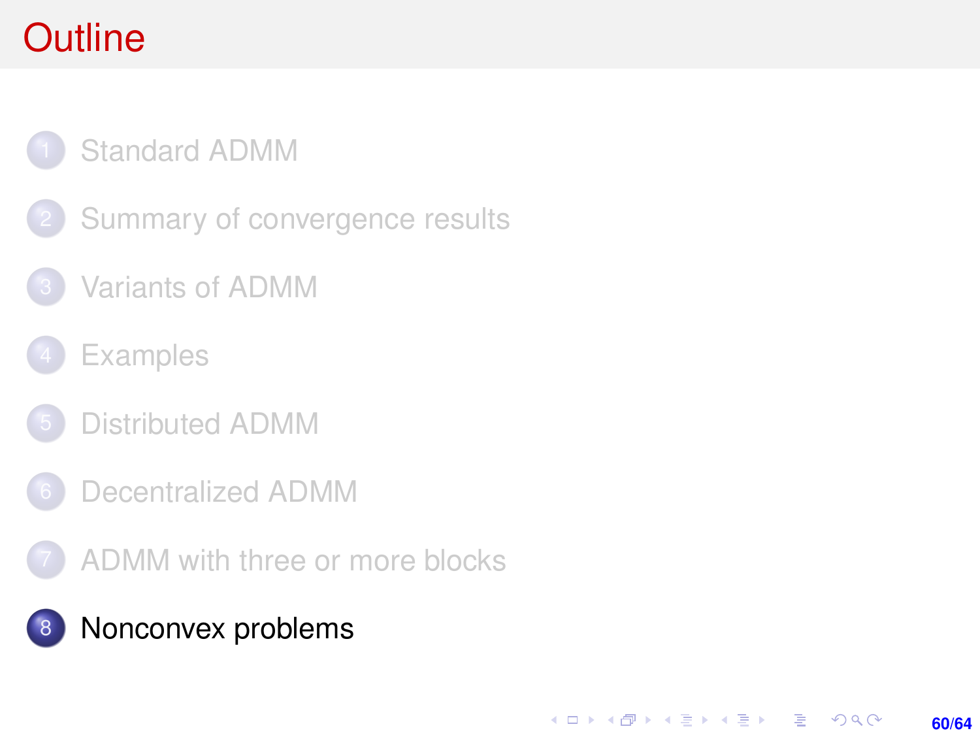# <span id="page-59-0"></span>**Outline**

### [Standard ADMM](#page-1-0)

- [Summary of convergence results](#page-7-0)
- [Variants of ADMM](#page-11-0)
- **[Examples](#page-17-0)**
- [Distributed ADMM](#page-30-0)
- 6 [Decentralized ADMM](#page-50-0)
- [ADMM with three or more blocks](#page-53-0)

### [Nonconvex problems](#page-59-0)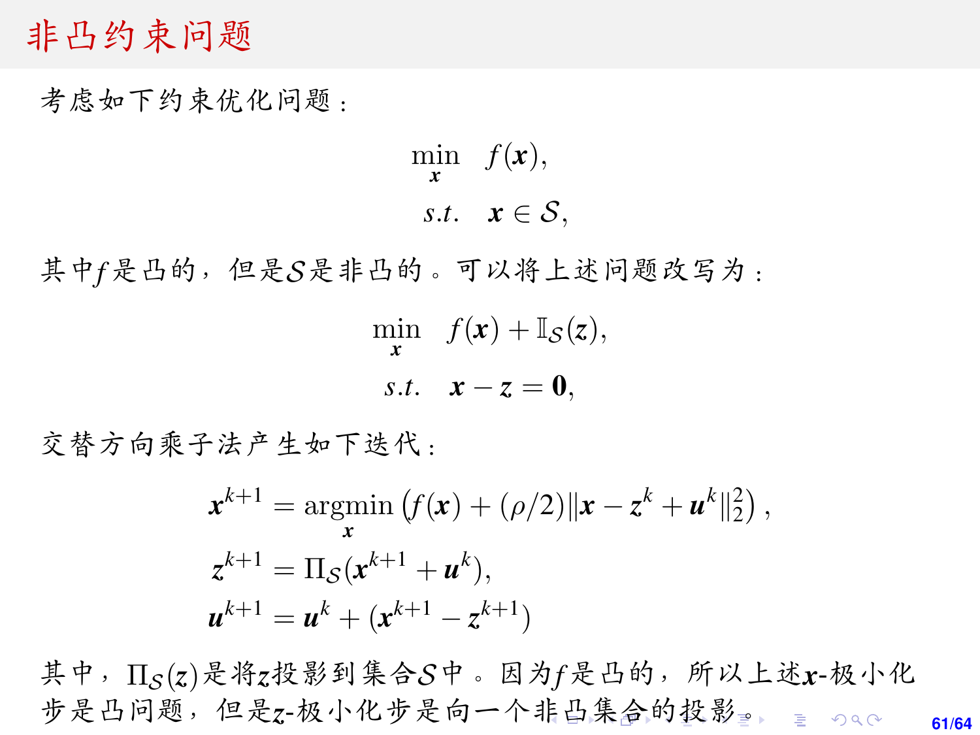### <span id="page-60-0"></span><sup>非</sup>凸约束问题

<sup>考</sup>虑如下约束优化问题:

min  $f(\mathbf{x}),$ *x s.t.*  $x \in \mathcal{S}$ ,

<sup>其</sup>中*f*是凸的,但是S是非凸的。可以将上述问题改写为:

 $\min_{\mathbf{x}} f(\mathbf{x}) + \mathbb{I}_{\mathcal{S}}(\mathbf{z}),$ *s.t.*  $x - z = 0$ .

交替方向乘子法产生如下迭代:

$$
\mathbf{x}^{k+1} = \underset{\mathbf{x}}{\operatorname{argmin}} \left( f(\mathbf{x}) + (\rho/2) ||\mathbf{x} - \mathbf{z}^k + \mathbf{u}^k||_2^2 \right),
$$
  
\n
$$
\mathbf{z}^{k+1} = \Pi_{\mathcal{S}}(\mathbf{x}^{k+1} + \mathbf{u}^k),
$$
  
\n
$$
\mathbf{u}^{k+1} = \mathbf{u}^k + (\mathbf{x}^{k+1} - \mathbf{z}^{k+1})
$$

**61/64** <sup>其</sup>中,ΠS(*z*)是将*z*投影到集合S中。因为*f*是凸的,[所](#page-63-0)以上述*x*-极小<sup>化</sup> 步是凸问题,但是z-极小化步是向一个[非](#page-59-0)凸[集](#page-59-0)[合](#page-60-0)[的](#page-0-0)[投](#page-63-0)[影](#page-0-0)[。](#page-63-0)。。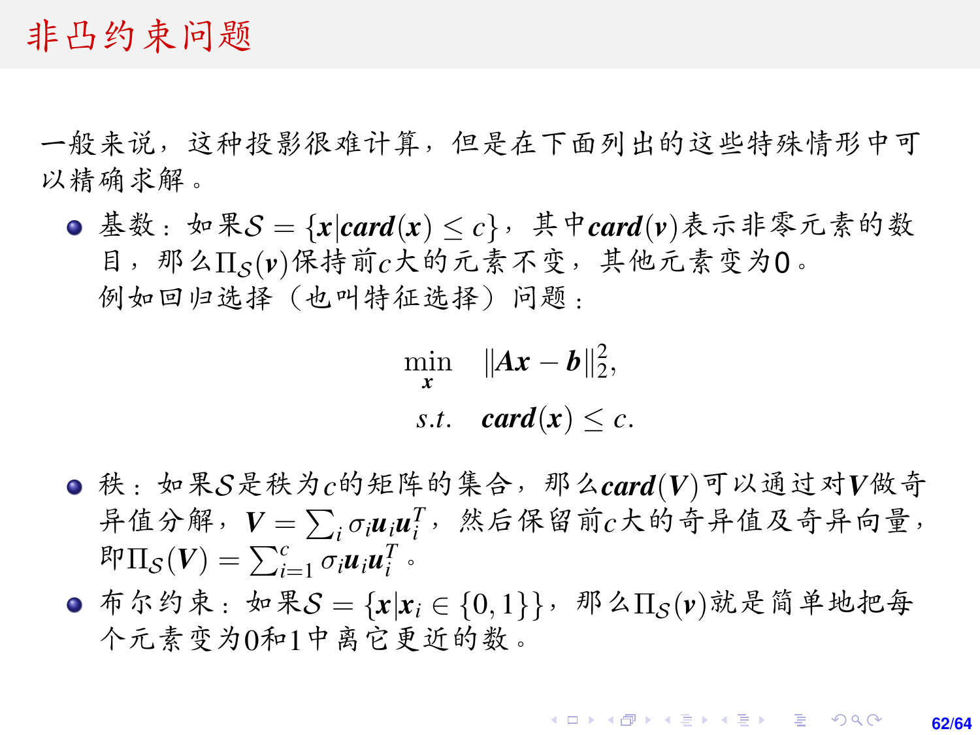### <span id="page-61-0"></span><sup>非</sup>凸约束问题

<sup>一</sup>般来说,这种投影很难计算,但是在下面列出的这些特殊情形中<sup>可</sup> 以精确求解。

● 基数:如果S = { $x|card(x) \le c$ }, 其中*card*( $v$ )表示非零元素的数 目, 那么Π<sub>S</sub>(v)保持前c大的元素不变, 其他元素变为0。 <sup>例</sup>如回归选择(也叫特征选择)问题:

$$
\min_{\mathbf{x}} \quad \|\mathbf{A}\mathbf{x} - \mathbf{b}\|_{2}^{2},
$$
  
s.t.  $\operatorname{card}(\mathbf{x}) \leq c$ .

- 秩:如果S是秩为*c*的矩阵的集合,那么*card*(*V*)可以通过对*V*做奇 异值分解,  $V = \sum_i \sigma_i u_i u_i^T$ , 然后保留前*c*大的奇异值及奇异向量,<br>即Πρ(V) - Γ<sup>ι</sup> συμ<sup>Τ</sup>ι  $\mathbb{E} \prod_{i=1}^{n} \sigma_i \mathbf{u}_i \mathbf{u}_i^T$
- **○** 布尔约束:如果S = { $x|x_i \in \{0,1\}$ },那么 $\Pi_S(v)$ 就是简单地把每 个元素变为0和1中离它更近的数。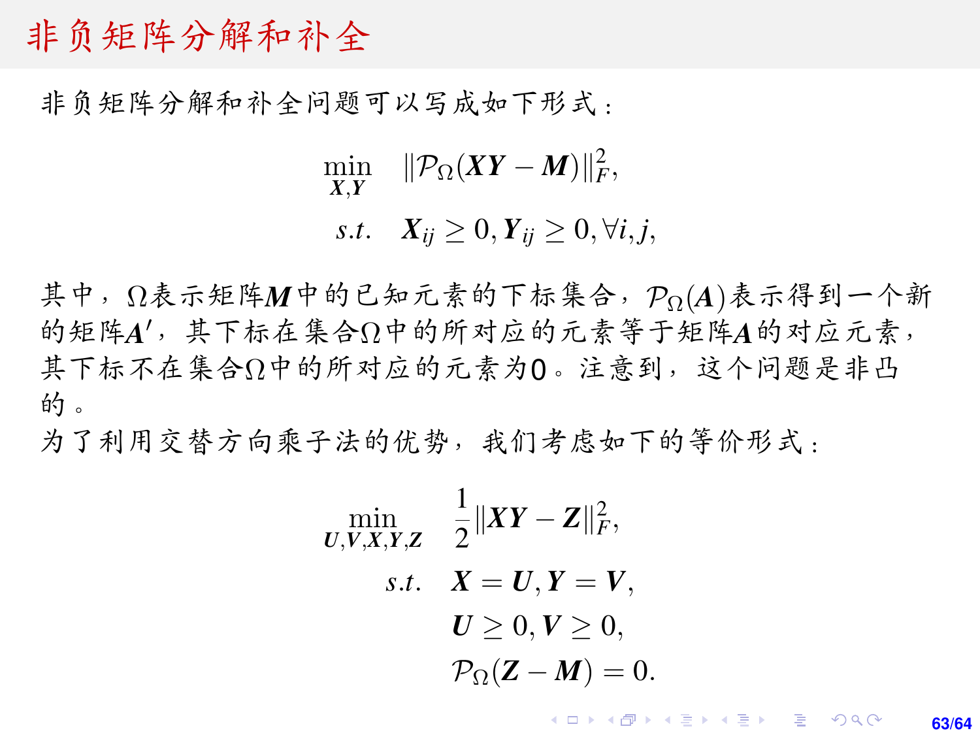### 非负矩阵分解和补全

非负矩阵分解和补全问题可以写成如下形式:

 $\min_{X,Y}$   $\|\mathcal{P}_{\Omega}(XY - M)\|_F^2$ ,

*s*.*t*.  $X_{ii} \ge 0, Y_{ii} \ge 0, \forall i, j$ ,

其中,Ω表示矩阵M中的已知元素的下标集合, PΩ(A)表示得到一个新 的矩阵A',其下标在集合Ω中的所对应的元素等于矩阵A的对应元素,<br>其下标不在集合Ω中的所对应的元素为Ω。注意到,这个问题是非凸 <sup>其</sup>下标不在集合Ω中的所对应的元素为0。注意到,这个问题是非<sup>凸</sup> 的。

为了利用交替方向乘子法的优势,我们考虑如下的等价形式:

$$
\min_{\boldsymbol{U}, \boldsymbol{V}, \boldsymbol{X}, \boldsymbol{Y}, \boldsymbol{Z}} \quad \frac{1}{2} \|\boldsymbol{X} \boldsymbol{Y} - \boldsymbol{Z} \|_{F}^{2},
$$
\n
$$
\text{s.t.} \quad \boldsymbol{X} = \boldsymbol{U}, \boldsymbol{Y} = \boldsymbol{V},
$$
\n
$$
\boldsymbol{U} \geq 0, \boldsymbol{V} \geq 0,
$$
\n
$$
\mathcal{P}_{\Omega}(\boldsymbol{Z} - \boldsymbol{M}) = 0.
$$

**KOD KARD KED KED DRA 63/64**